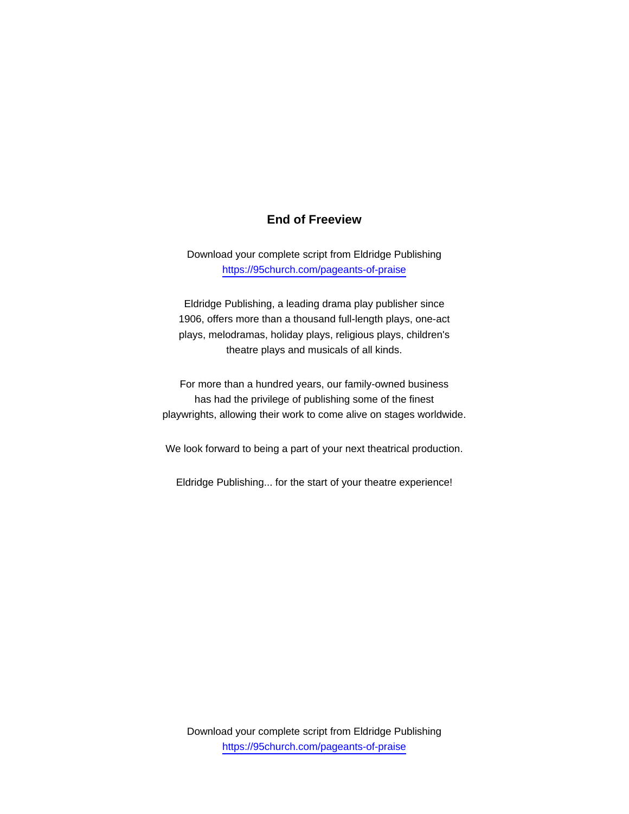## **End of Freeview**

Download your complete script from Eldridge Publishing https://95church.com/pageants-of-praise

Eldridge Publishing, a leading drama play publisher since 1906, offers more than a thousand full-length plays, one-act plays, melodramas, holiday plays, religious plays, children's theatre plays and musicals of all kinds.

For more than a hundred years, our family-owned business has had the privilege of publishing some of the finest playwrights, allowing their work to come alive on stages worldwide.

We look forward to being a part of your next theatrical production.

Eldridge Publishing... for the start of your theatre experience!

Download your complete script from Eldridge Publishing https://95church.com/pageants-of-praise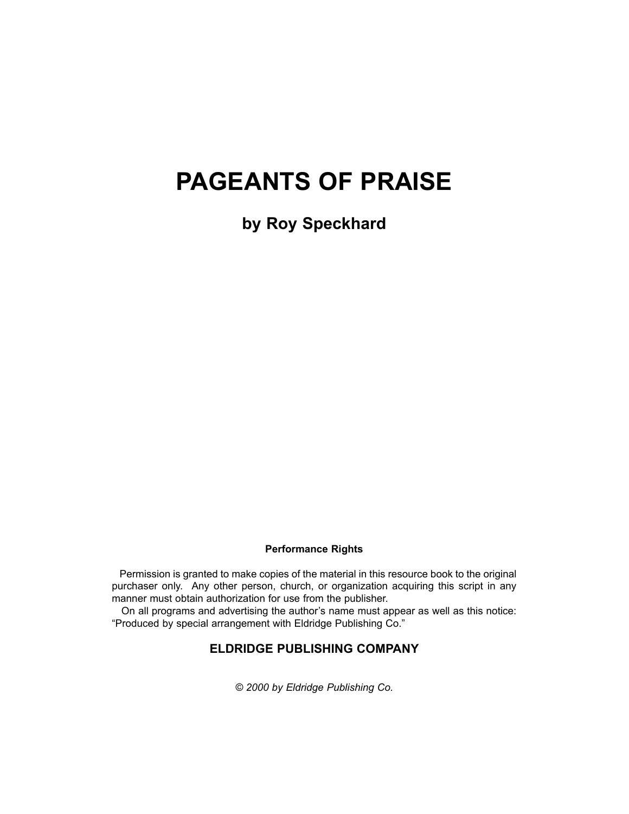# **PAGEANTS OF PRAISE**

**by Roy Speckhard**

## **Performance Rights**

Permission is granted to make copies of the material in this resource book to the original purchaser only. Any other person, church, or organization acquiring this script in any manner must obtain authorization for use from the publisher.

On all programs and advertising the author's name must appear as well as this notice: "Produced by special arrangement with Eldridge Publishing Co."

# **ELDRIDGE PUBLISHING COMPANY**

*© 2000 by Eldridge Publishing Co.*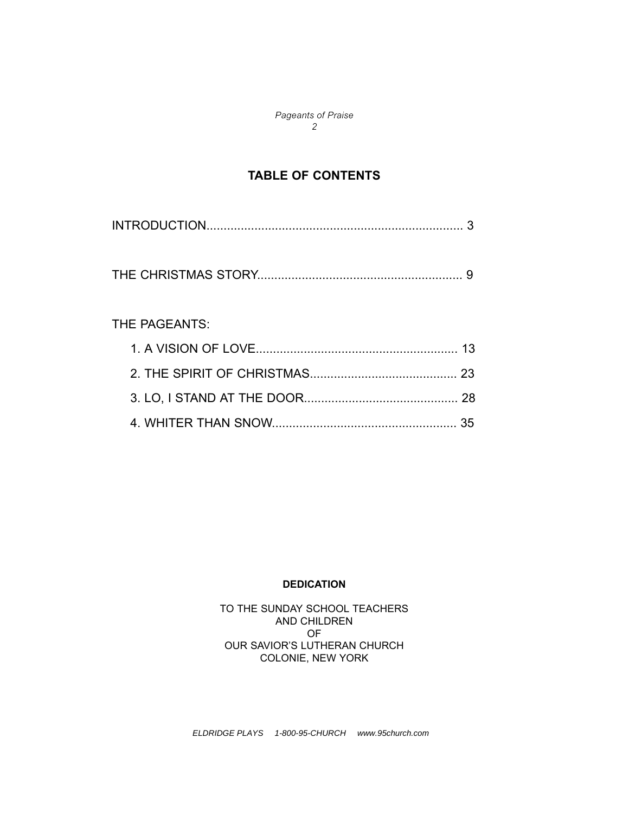# **TABLE OF CONTENTS**

|--|--|

THE CHRISTMAS STORY............................................................ 9

# THE PAGEANTS:

## **DEDICATION**

TO THE SUNDAY SCHOOL TEACHERS AND CHILDREN OF OUR SAVIOR'S LUTHERAN CHURCH COLONIE, NEW YORK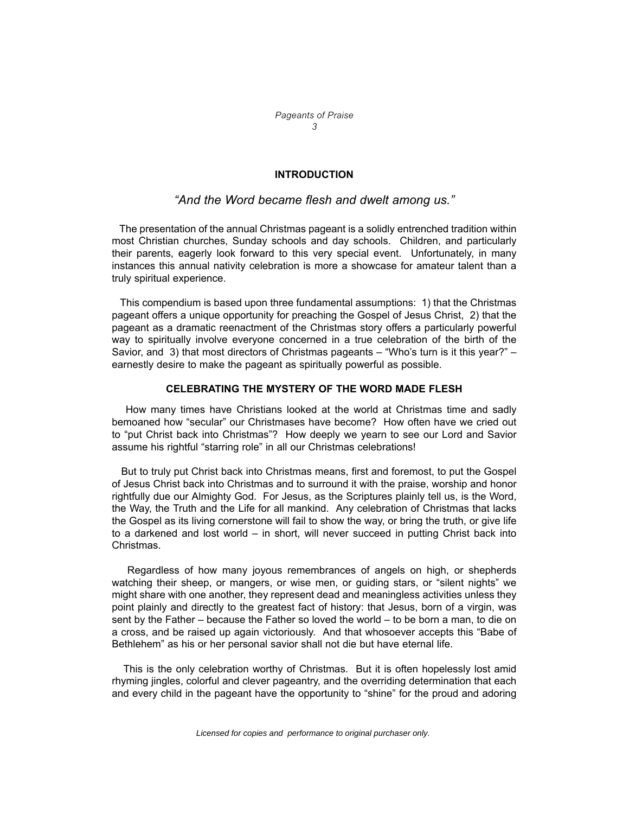## **INTRODUCTION**

## *ìAnd the Word became flesh and dwelt among us.î*

The presentation of the annual Christmas pageant is a solidly entrenched tradition within most Christian churches, Sunday schools and day schools. Children, and particularly their parents, eagerly look forward to this very special event. Unfortunately, in many instances this annual nativity celebration is more a showcase for amateur talent than a truly spiritual experience.

This compendium is based upon three fundamental assumptions: 1) that the Christmas pageant offers a unique opportunity for preaching the Gospel of Jesus Christ, 2) that the pageant as a dramatic reenactment of the Christmas story offers a particularly powerful way to spiritually involve everyone concerned in a true celebration of the birth of the Savior, and 3) that most directors of Christmas pageants  $-$  "Who's turn is it this year?"  $$ earnestly desire to make the pageant as spiritually powerful as possible.

#### **CELEBRATING THE MYSTERY OF THE WORD MADE FLESH**

How many times have Christians looked at the world at Christmas time and sadly bemoaned how "secular" our Christmases have become? How often have we cried out to "put Christ back into Christmas"? How deeply we yearn to see our Lord and Savior assume his rightful "starring role" in all our Christmas celebrations!

But to truly put Christ back into Christmas means, first and foremost, to put the Gospel of Jesus Christ back into Christmas and to surround it with the praise, worship and honor rightfully due our Almighty God. For Jesus, as the Scriptures plainly tell us, is the Word, the Way, the Truth and the Life for all mankind. Any celebration of Christmas that lacks the Gospel as its living cornerstone will fail to show the way, or bring the truth, or give life to a darkened and lost world  $-$  in short, will never succeed in putting Christ back into Christmas.

Regardless of how many joyous remembrances of angels on high, or shepherds watching their sheep, or mangers, or wise men, or guiding stars, or "silent nights" we might share with one another, they represent dead and meaningless activities unless they point plainly and directly to the greatest fact of history: that Jesus, born of a virgin, was sent by the Father  $-$  because the Father so loved the world  $-$  to be born a man, to die on a cross, and be raised up again victoriously. And that whosoever accepts this "Babe of Bethlehem" as his or her personal savior shall not die but have eternal life.

This is the only celebration worthy of Christmas. But it is often hopelessly lost amid rhyming iingles, colorful and clever pageantry, and the overriding determination that each and every child in the pageant have the opportunity to "shine" for the proud and adoring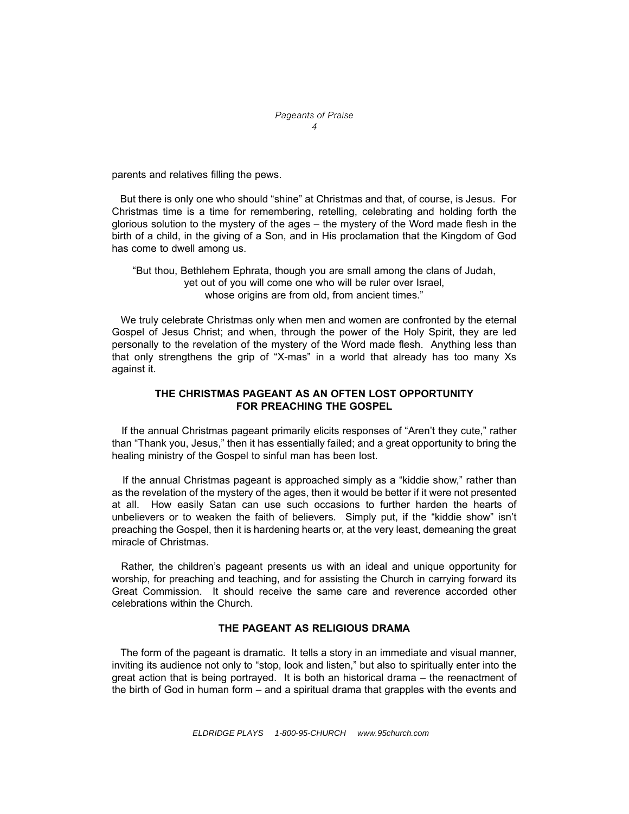parents and relatives filling the pews.

But there is only one who should "shine" at Christmas and that, of course, is Jesus. For Christmas time is a time for remembering, retelling, celebrating and holding forth the glorious solution to the mystery of the ages – the mystery of the Word made flesh in the birth of a child, in the giving of a Son, and in His proclamation that the Kingdom of God has come to dwell among us.

ìBut thou, Bethlehem Ephrata, though you are small among the clans of Judah, yet out of you will come one who will be ruler over Israel, whose origins are from old, from ancient times."

We truly celebrate Christmas only when men and women are confronted by the eternal Gospel of Jesus Christ; and when, through the power of the Holy Spirit, they are led personally to the revelation of the mystery of the Word made flesh. Anything less than that only strengthens the grip of "X-mas" in a world that already has too many Xs against it.

## **THE CHRISTMAS PAGEANT AS AN OFTEN LOST OPPORTUNITY FOR PREACHING THE GOSPEL**

If the annual Christmas pageant primarily elicits responses of "Aren't they cute," rather than "Thank you, Jesus," then it has essentially failed; and a great opportunity to bring the healing ministry of the Gospel to sinful man has been lost.

If the annual Christmas pageant is approached simply as a "kiddie show," rather than as the revelation of the mystery of the ages, then it would be better if it were not presented at all. How easily Satan can use such occasions to further harden the hearts of unbelievers or to weaken the faith of believers. Simply put, if the "kiddie show" isn't preaching the Gospel, then it is hardening hearts or, at the very least, demeaning the great miracle of Christmas.

Rather, the childrenís pageant presents us with an ideal and unique opportunity for worship, for preaching and teaching, and for assisting the Church in carrying forward its Great Commission. It should receive the same care and reverence accorded other celebrations within the Church.

## **THE PAGEANT AS RELIGIOUS DRAMA**

The form of the pageant is dramatic. It tells a story in an immediate and visual manner, inviting its audience not only to "stop, look and listen," but also to spiritually enter into the great action that is being portrayed. It is both an historical drama – the reenactment of the birth of God in human form  $-$  and a spiritual drama that grapples with the events and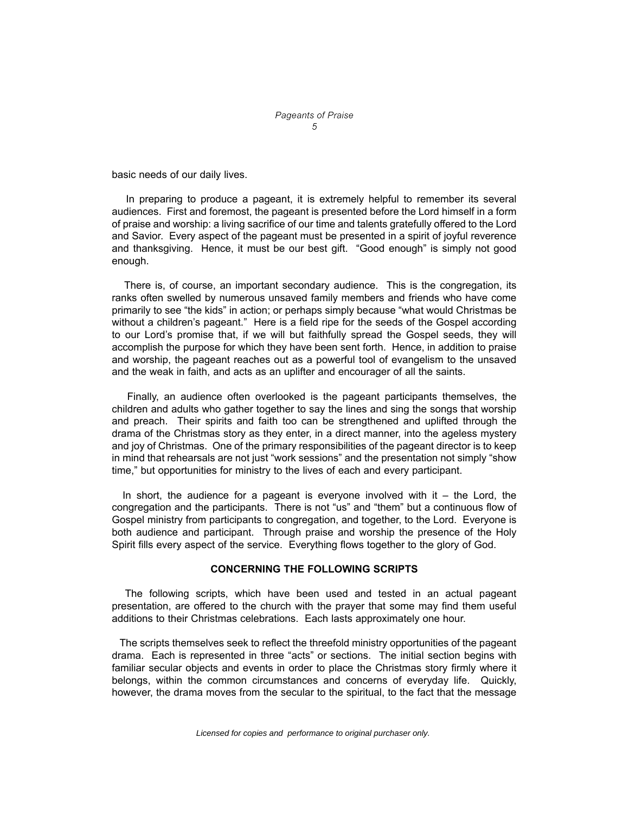basic needs of our daily lives.

In preparing to produce a pageant, it is extremely helpful to remember its several audiences. First and foremost, the pageant is presented before the Lord himself in a form of praise and worship: a living sacrifice of our time and talents gratefully offered to the Lord and Savior. Every aspect of the pageant must be presented in a spirit of joyful reverence and thanksgiving. Hence, it must be our best gift. "Good enough" is simply not good enough.

There is, of course, an important secondary audience. This is the congregation, its ranks often swelled by numerous unsaved family members and friends who have come primarily to see "the kids" in action; or perhaps simply because "what would Christmas be without a children's pageant." Here is a field ripe for the seeds of the Gospel according to our Lordís promise that, if we will but faithfully spread the Gospel seeds, they will accomplish the purpose for which they have been sent forth. Hence, in addition to praise and worship, the pageant reaches out as a powerful tool of evangelism to the unsaved and the weak in faith, and acts as an uplifter and encourager of all the saints.

Finally, an audience often overlooked is the pageant participants themselves, the children and adults who gather together to say the lines and sing the songs that worship and preach. Their spirits and faith too can be strengthened and uplifted through the drama of the Christmas story as they enter, in a direct manner, into the ageless mystery and joy of Christmas. One of the primary responsibilities of the pageant director is to keep in mind that rehearsals are not just "work sessions" and the presentation not simply "show time," but opportunities for ministry to the lives of each and every participant.

In short, the audience for a pageant is everyone involved with it  $-$  the Lord, the congregation and the participants. There is not "us" and "them" but a continuous flow of Gospel ministry from participants to congregation, and together, to the Lord. Everyone is both audience and participant. Through praise and worship the presence of the Holy Spirit fills every aspect of the service. Everything flows together to the glory of God.

#### **CONCERNING THE FOLLOWING SCRIPTS**

The following scripts, which have been used and tested in an actual pageant presentation, are offered to the church with the prayer that some may find them useful additions to their Christmas celebrations. Each lasts approximately one hour.

The scripts themselves seek to reflect the threefold ministry opportunities of the pageant drama. Each is represented in three "acts" or sections. The initial section begins with familiar secular objects and events in order to place the Christmas story firmly where it belongs, within the common circumstances and concerns of everyday life. Quickly, however, the drama moves from the secular to the spiritual, to the fact that the message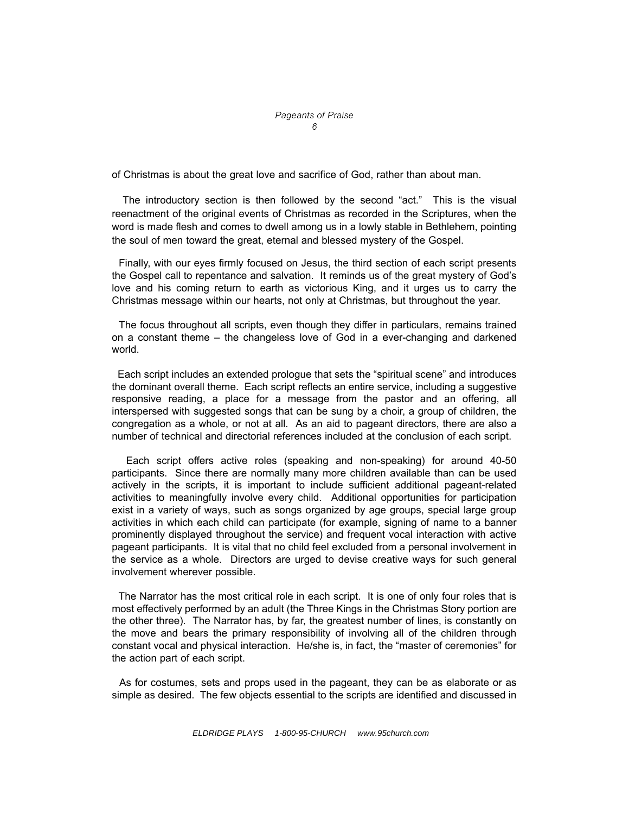of Christmas is about the great love and sacrifice of God, rather than about man.

The introductory section is then followed by the second "act." This is the visual reenactment of the original events of Christmas as recorded in the Scriptures, when the word is made flesh and comes to dwell among us in a lowly stable in Bethlehem, pointing the soul of men toward the great, eternal and blessed mystery of the Gospel.

Finally, with our eyes firmly focused on Jesus, the third section of each script presents the Gospel call to repentance and salvation. It reminds us of the great mystery of Godís love and his coming return to earth as victorious King, and it urges us to carry the Christmas message within our hearts, not only at Christmas, but throughout the year.

The focus throughout all scripts, even though they differ in particulars, remains trained on a constant theme  $-$  the changeless love of God in a ever-changing and darkened world.

Each script includes an extended prologue that sets the "spiritual scene" and introduces the dominant overall theme. Each script reflects an entire service, including a suggestive responsive reading, a place for a message from the pastor and an offering, all interspersed with suggested songs that can be sung by a choir, a group of children, the congregation as a whole, or not at all. As an aid to pageant directors, there are also a number of technical and directorial references included at the conclusion of each script.

Each script offers active roles (speaking and non-speaking) for around 40-50 participants. Since there are normally many more children available than can be used actively in the scripts, it is important to include sufficient additional pageant-related activities to meaningfully involve every child. Additional opportunities for participation exist in a variety of ways, such as songs organized by age groups, special large group activities in which each child can participate (for example, signing of name to a banner prominently displayed throughout the service) and frequent vocal interaction with active pageant participants. It is vital that no child feel excluded from a personal involvement in the service as a whole. Directors are urged to devise creative ways for such general involvement wherever possible.

The Narrator has the most critical role in each script. It is one of only four roles that is most effectively performed by an adult (the Three Kings in the Christmas Story portion are the other three). The Narrator has, by far, the greatest number of lines, is constantly on the move and bears the primary responsibility of involving all of the children through constant vocal and physical interaction. He/she is, in fact, the "master of ceremonies" for the action part of each script.

As for costumes, sets and props used in the pageant, they can be as elaborate or as simple as desired. The few objects essential to the scripts are identified and discussed in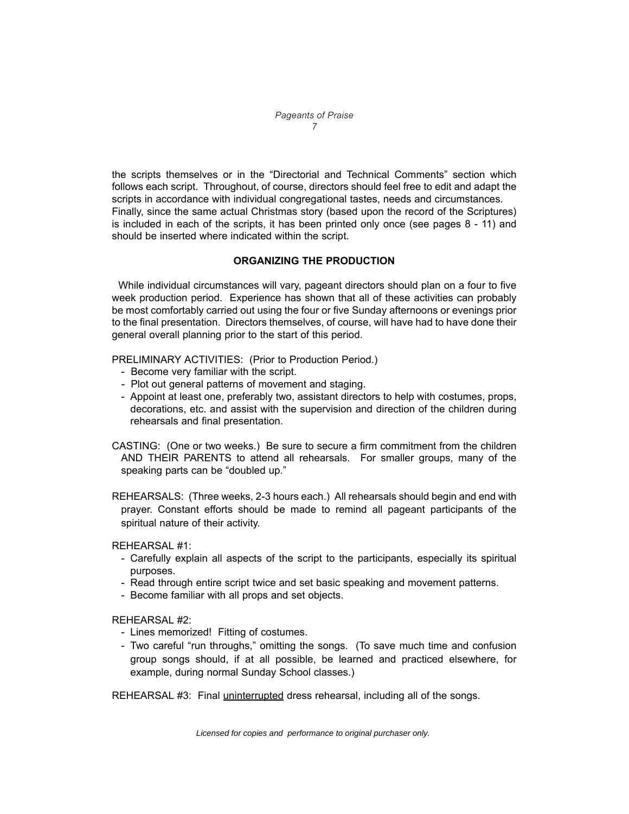the scripts themselves or in the "Directorial and Technical Comments" section which follows each script. Throughout, of course, directors should feel free to edit and adapt the scripts in accordance with individual congregational tastes, needs and circumstances. Finally, since the same actual Christmas story (based upon the record of the Scriptures) is included in each of the scripts, it has been printed only once (see pages 8 - 11) and should be inserted where indicated within the script.

## **ORGANIZING THE PRODUCTION**

While individual circumstances will vary, pageant directors should plan on a four to five week production period. Experience has shown that all of these activities can probably be most comfortably carried out using the four or five Sunday afternoons or evenings prior to the final presentation. Directors themselves, of course, will have had to have done their general overall planning prior to the start of this period.

PRELIMINARY ACTIVITIES: (Prior to Production Period.)

- Become very familiar with the script.
- Plot out general patterns of movement and staging.
- Appoint at least one, preferably two, assistant directors to help with costumes, props, decorations, etc. and assist with the supervision and direction of the children during rehearsals and final presentation.
- CASTING: (One or two weeks.) Be sure to secure a firm commitment from the children AND THEIR PARENTS to attend all rehearsals. For smaller groups, many of the speaking parts can be "doubled up."

REHEARSALS: (Three weeks, 2-3 hours each.) All rehearsals should begin and end with prayer. Constant efforts should be made to remind all pageant participants of the spiritual nature of their activity.

REHEARSAL #1:

- Carefully explain all aspects of the script to the participants, especially its spiritual purposes.
- Read through entire script twice and set basic speaking and movement patterns.
- Become familiar with all props and set objects.

REHEARSAL #2:

- Lines memorized! Fitting of costumes.
- Two careful "run throughs," omitting the songs. (To save much time and confusion group songs should, if at all possible, be learned and practiced elsewhere, for example, during normal Sunday School classes.)

REHEARSAL #3: Final uninterrupted dress rehearsal, including all of the songs.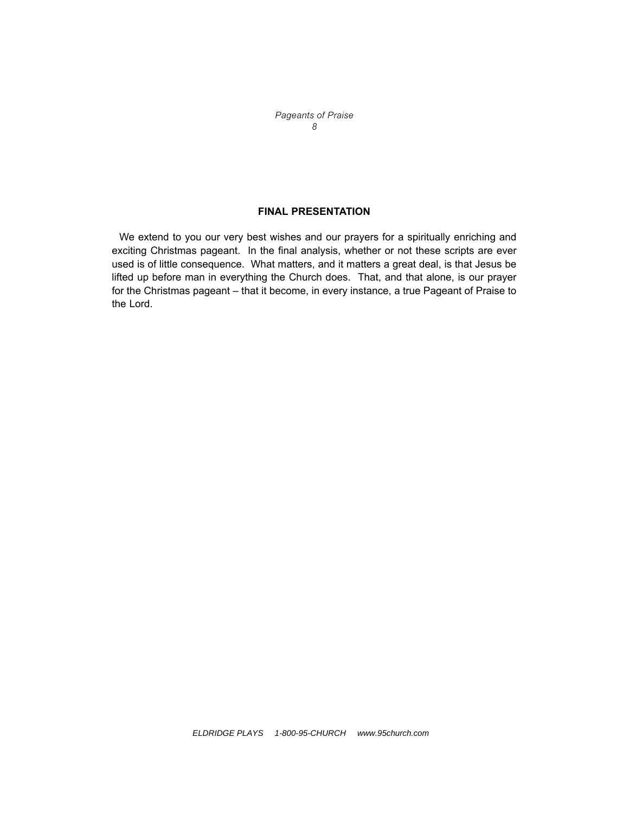## **FINAL PRESENTATION**

We extend to you our very best wishes and our prayers for a spiritually enriching and exciting Christmas pageant. In the final analysis, whether or not these scripts are ever used is of little consequence. What matters, and it matters a great deal, is that Jesus be lifted up before man in everything the Church does. That, and that alone, is our prayer for the Christmas pageant – that it become, in every instance, a true Pageant of Praise to the Lord.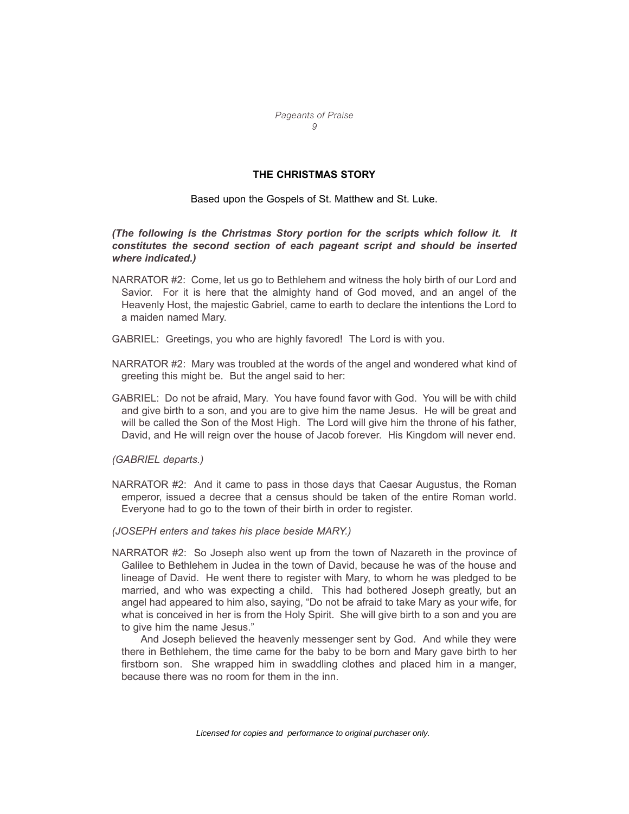

## **THE CHRISTMAS STORY**

#### Based upon the Gospels of St. Matthew and St. Luke.

*(The following is the Christmas Story portion for the scripts which follow it. It constitutes the second section of each pageant script and should be inserted where indicated.)*

- NARRATOR #2: Come, let us go to Bethlehem and witness the holy birth of our Lord and Savior. For it is here that the almighty hand of God moved, and an angel of the Heavenly Host, the majestic Gabriel, came to earth to declare the intentions the Lord to a maiden named Mary.
- GABRIEL: Greetings, you who are highly favored! The Lord is with you.
- NARRATOR #2: Mary was troubled at the words of the angel and wondered what kind of greeting this might be. But the angel said to her:
- GABRIEL: Do not be afraid, Mary. You have found favor with God. You will be with child and give birth to a son, and you are to give him the name Jesus. He will be great and will be called the Son of the Most High. The Lord will give him the throne of his father, David, and He will reign over the house of Jacob forever. His Kingdom will never end.

*(GABRIEL departs.)*

- NARRATOR #2: And it came to pass in those days that Caesar Augustus, the Roman emperor, issued a decree that a census should be taken of the entire Roman world. Everyone had to go to the town of their birth in order to register.
- *(JOSEPH enters and takes his place beside MARY.)*
- NARRATOR #2: So Joseph also went up from the town of Nazareth in the province of Galilee to Bethlehem in Judea in the town of David, because he was of the house and lineage of David. He went there to register with Mary, to whom he was pledged to be married, and who was expecting a child. This had bothered Joseph greatly, but an angel had appeared to him also, saying, "Do not be afraid to take Mary as your wife, for what is conceived in her is from the Holy Spirit. She will give birth to a son and you are to give him the name Jesus."

And Joseph believed the heavenly messenger sent by God. And while they were there in Bethlehem, the time came for the baby to be born and Mary gave birth to her firstborn son. She wrapped him in swaddling clothes and placed him in a manger, because there was no room for them in the inn.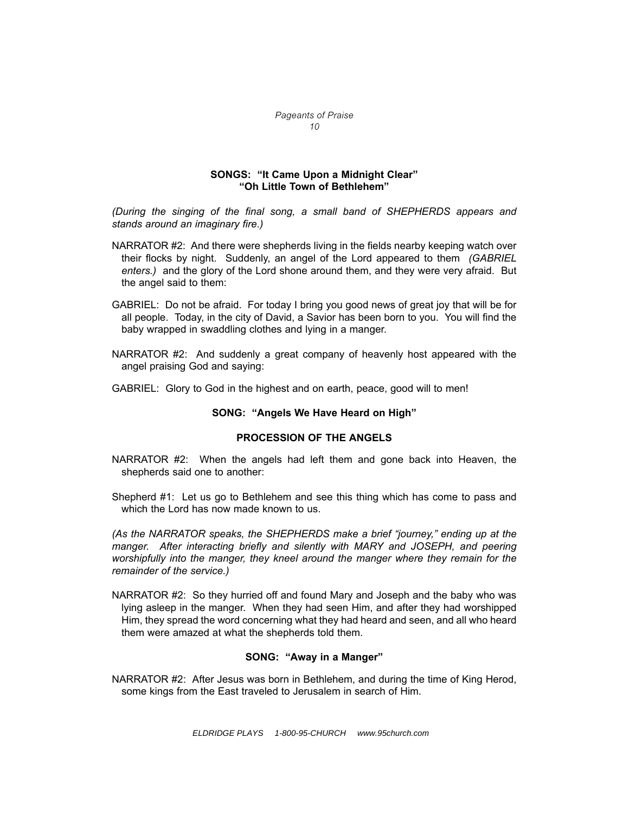## **SONGS: "It Came Upon a Midnight Clear" ìOh Little Town of Bethlehemî**

*(During the singing of the final song, a small band of SHEPHERDS appears and stands around an imaginary fire.)*

- NARRATOR #2: And there were shepherds living in the fields nearby keeping watch over their flocks by night. Suddenly, an angel of the Lord appeared to them *(GABRIEL enters.)* and the glory of the Lord shone around them, and they were very afraid. But the angel said to them:
- GABRIEL: Do not be afraid. For today I bring you good news of great joy that will be for all people. Today, in the city of David, a Savior has been born to you. You will find the baby wrapped in swaddling clothes and lying in a manger.
- NARRATOR #2: And suddenly a great company of heavenly host appeared with the angel praising God and saying:
- GABRIEL: Glory to God in the highest and on earth, peace, good will to men!

## **SONG: "Angels We Have Heard on High"**

## **PROCESSION OF THE ANGELS**

- NARRATOR #2: When the angels had left them and gone back into Heaven, the shepherds said one to another:
- Shepherd #1: Let us go to Bethlehem and see this thing which has come to pass and which the Lord has now made known to us.

*(As the NARRATOR speaks, the SHEPHERDS make a brief "journey," ending up at the manger. After interacting briefly and silently with MARY and JOSEPH, and peering worshipfully into the manger, they kneel around the manger where they remain for the remainder of the service.)*

NARRATOR #2: So they hurried off and found Mary and Joseph and the baby who was lying asleep in the manger. When they had seen Him, and after they had worshipped Him, they spread the word concerning what they had heard and seen, and all who heard them were amazed at what the shepherds told them.

#### **SONG: "Away in a Manger"**

NARRATOR #2: After Jesus was born in Bethlehem, and during the time of King Herod, some kings from the East traveled to Jerusalem in search of Him.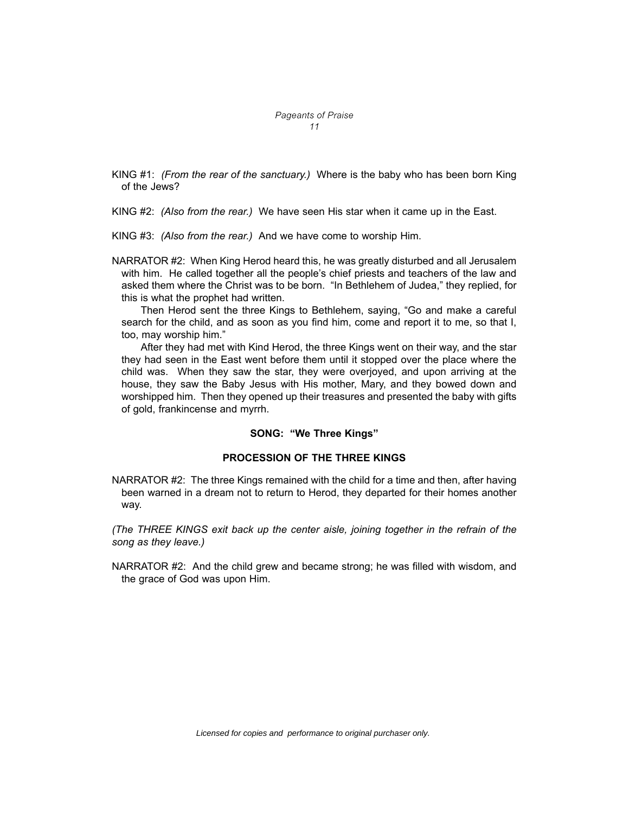KING #1: *(From the rear of the sanctuary.)* Where is the baby who has been born King of the Jews?

KING #2: *(Also from the rear.)* We have seen His star when it came up in the East.

KING #3: *(Also from the rear.)* And we have come to worship Him.

NARRATOR #2: When King Herod heard this, he was greatly disturbed and all Jerusalem with him. He called together all the people's chief priests and teachers of the law and asked them where the Christ was to be born. "In Bethlehem of Judea," they replied, for this is what the prophet had written.

Then Herod sent the three Kings to Bethlehem, saying, "Go and make a careful search for the child, and as soon as you find him, come and report it to me, so that I, too, may worship him."

After they had met with Kind Herod, the three Kings went on their way, and the star they had seen in the East went before them until it stopped over the place where the child was. When they saw the star, they were overjoyed, and upon arriving at the house, they saw the Baby Jesus with His mother, Mary, and they bowed down and worshipped him. Then they opened up their treasures and presented the baby with gifts of gold, frankincense and myrrh.

#### **SONG: "We Three Kings"**

## **PROCESSION OF THE THREE KINGS**

NARRATOR #2: The three Kings remained with the child for a time and then, after having been warned in a dream not to return to Herod, they departed for their homes another way.

*(The THREE KINGS exit back up the center aisle, joining together in the refrain of the song as they leave.)*

NARRATOR #2: And the child grew and became strong; he was filled with wisdom, and the grace of God was upon Him.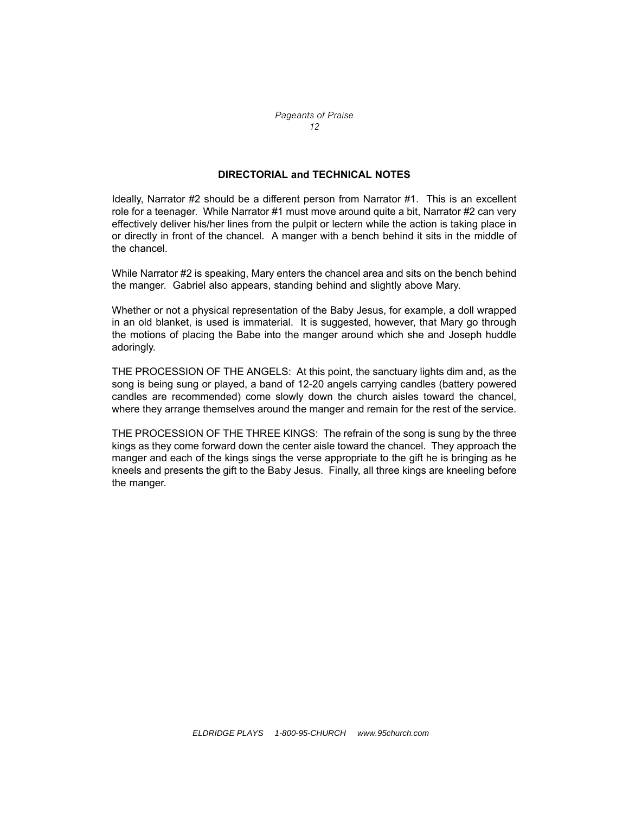#### **DIRECTORIAL and TECHNICAL NOTES**

Ideally, Narrator #2 should be a different person from Narrator #1. This is an excellent role for a teenager. While Narrator #1 must move around quite a bit, Narrator #2 can very effectively deliver his/her lines from the pulpit or lectern while the action is taking place in or directly in front of the chancel. A manger with a bench behind it sits in the middle of the chancel.

While Narrator #2 is speaking, Mary enters the chancel area and sits on the bench behind the manger. Gabriel also appears, standing behind and slightly above Mary.

Whether or not a physical representation of the Baby Jesus, for example, a doll wrapped in an old blanket, is used is immaterial. It is suggested, however, that Mary go through the motions of placing the Babe into the manger around which she and Joseph huddle adoringly.

THE PROCESSION OF THE ANGELS: At this point, the sanctuary lights dim and, as the song is being sung or played, a band of 12-20 angels carrying candles (battery powered candles are recommended) come slowly down the church aisles toward the chancel, where they arrange themselves around the manger and remain for the rest of the service.

THE PROCESSION OF THE THREE KINGS: The refrain of the song is sung by the three kings as they come forward down the center aisle toward the chancel. They approach the manger and each of the kings sings the verse appropriate to the gift he is bringing as he kneels and presents the gift to the Baby Jesus. Finally, all three kings are kneeling before the manger.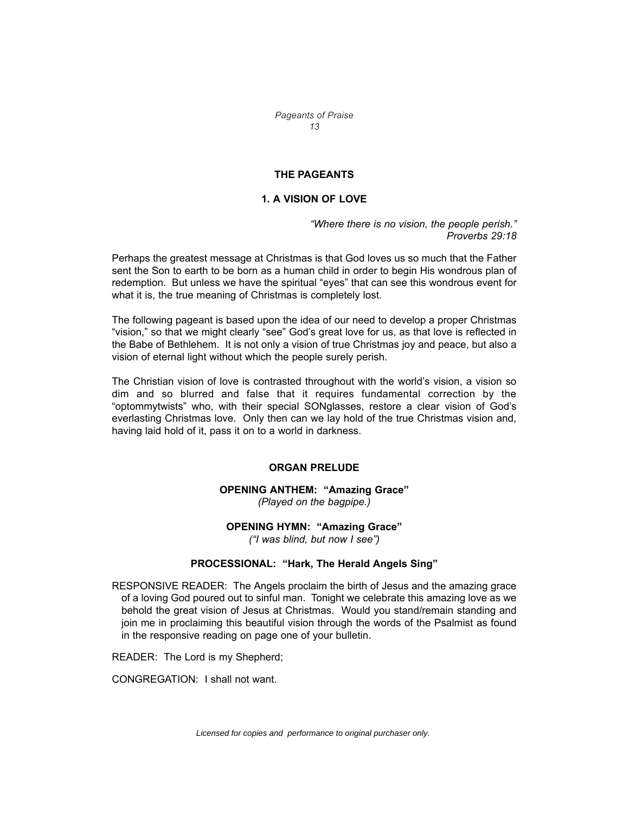## **THE PAGEANTS**

## **1. A VISION OF LOVE**

"Where there is no vision, the people perish." *Proverbs 29:18* 

Perhaps the greatest message at Christmas is that God loves us so much that the Father sent the Son to earth to be born as a human child in order to begin His wondrous plan of redemption. But unless we have the spiritual "eyes" that can see this wondrous event for what it is, the true meaning of Christmas is completely lost.

The following pageant is based upon the idea of our need to develop a proper Christmas "vision," so that we might clearly "see" God's great love for us, as that love is reflected in the Babe of Bethlehem. It is not only a vision of true Christmas joy and peace, but also a vision of eternal light without which the people surely perish.

The Christian vision of love is contrasted throughout with the world's vision, a vision so dim and so blurred and false that it requires fundamental correction by the ìoptommytwistsî who, with their special SONglasses, restore a clear vision of Godís everlasting Christmas love. Only then can we lay hold of the true Christmas vision and, having laid hold of it, pass it on to a world in darkness.

#### **ORGAN PRELUDE**

## **OPENING ANTHEM: "Amazing Grace"** *(Played on the bagpipe.)*

## **OPENING HYMN: "Amazing Grace"**

*(ìI was blind, but now I seeî)*

## PROCESSIONAL: "Hark, The Herald Angels Sing"

RESPONSIVE READER: The Angels proclaim the birth of Jesus and the amazing grace of a loving God poured out to sinful man. Tonight we celebrate this amazing love as we behold the great vision of Jesus at Christmas. Would you stand/remain standing and join me in proclaiming this beautiful vision through the words of the Psalmist as found in the responsive reading on page one of your bulletin.

READER: The Lord is my Shepherd;

CONGREGATION: I shall not want.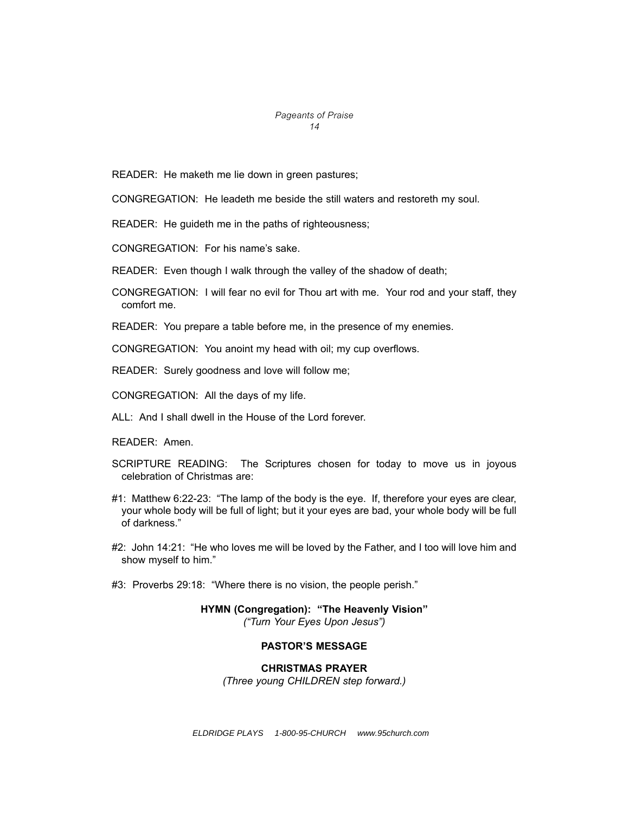READER: He maketh me lie down in green pastures;

CONGREGATION: He leadeth me beside the still waters and restoreth my soul.

READER: He guideth me in the paths of righteousness;

CONGREGATION: For his name's sake.

READER: Even though I walk through the valley of the shadow of death;

CONGREGATION: I will fear no evil for Thou art with me. Your rod and your staff, they comfort me.

READER: You prepare a table before me, in the presence of my enemies.

CONGREGATION: You anoint my head with oil; my cup overflows.

READER: Surely goodness and love will follow me;

CONGREGATION: All the days of my life.

ALL: And I shall dwell in the House of the Lord forever.

READER: Amen.

- SCRIPTURE READING: The Scriptures chosen for today to move us in joyous celebration of Christmas are:
- $#1$ : Matthew 6:22-23: "The lamp of the body is the eye. If, therefore your eyes are clear, your whole body will be full of light; but it your eyes are bad, your whole body will be full of darkness."
- #2: John 14:21: "He who loves me will be loved by the Father, and I too will love him and show myself to him."
- #3: Proverbs 29:18: "Where there is no vision, the people perish."

**HYMN (Congregation): "The Heavenly Vision"** *(ìTurn Your Eyes Upon Jesusî)*

#### **PASTOR'S MESSAGE**

**CHRISTMAS PRAYER** *(Three young CHILDREN step forward.)*

ELDRIDGE PLAYS 1-800-95-CHURCH www.95church.com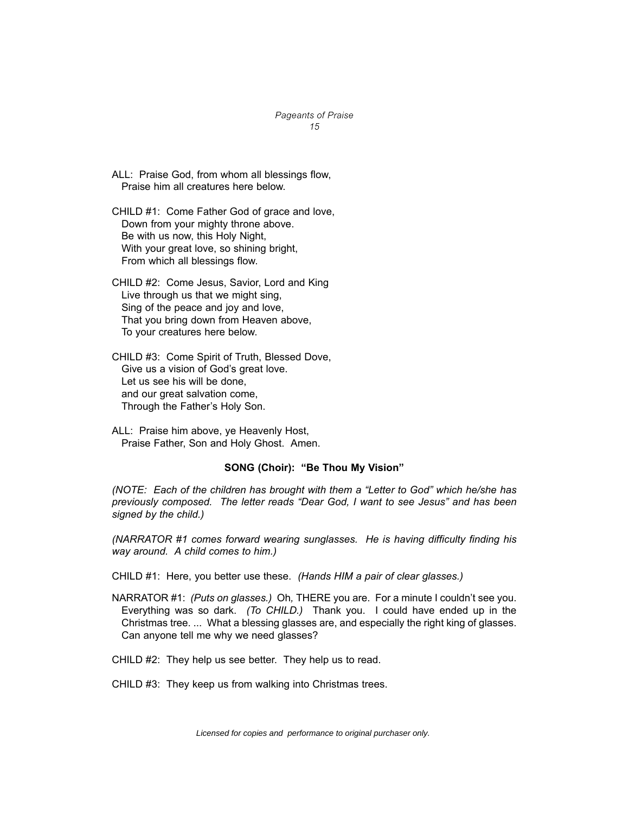ALL: Praise God, from whom all blessings flow, Praise him all creatures here below.

CHILD #1: Come Father God of grace and love, Down from your mighty throne above. Be with us now, this Holy Night, With your great love, so shining bright, From which all blessings flow.

CHILD #2: Come Jesus, Savior, Lord and King Live through us that we might sing, Sing of the peace and joy and love, That you bring down from Heaven above, To your creatures here below.

CHILD #3: Come Spirit of Truth, Blessed Dove, Give us a vision of God's great love. Let us see his will be done, and our great salvation come, Through the Father's Holy Son.

ALL: Praise him above, ye Heavenly Host, Praise Father, Son and Holy Ghost. Amen.

#### **SONG (Choir): "Be Thou My Vision"**

*(NOTE: Each of the children has brought with them a "Letter to God" which he/she has previously composed. The letter reads "Dear God, I want to see Jesus" and has been signed by the child.)*

*(NARRATOR #1 comes forward wearing sunglasses. He is having difficulty finding his way around. A child comes to him.)*

CHILD #1: Here, you better use these. *(Hands HIM a pair of clear glasses.)*

NARRATOR #1: *(Puts on glasses.)* Oh*,* THERE you are. For a minute I couldnít see you. Everything was so dark. *(To CHILD.)* Thank you. I could have ended up in the Christmas tree. ... What a blessing glasses are, and especially the right king of glasses. Can anyone tell me why we need glasses?

CHILD #2: They help us see better. They help us to read.

CHILD #3: They keep us from walking into Christmas trees.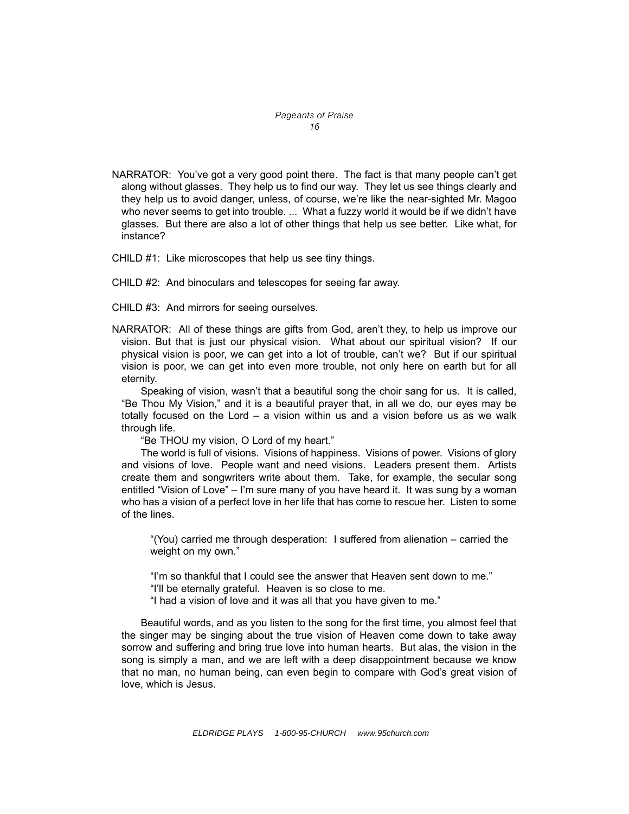NARRATOR: Youíve got a very good point there. The fact is that many people canít get along without glasses. They help us to find our way. They let us see things clearly and they help us to avoid danger, unless, of course, we're like the near-sighted Mr. Magoo who never seems to get into trouble. ... What a fuzzy world it would be if we didn't have glasses. But there are also a lot of other things that help us see better. Like what, for instance?

CHILD #1: Like microscopes that help us see tiny things.

CHILD #2: And binoculars and telescopes for seeing far away.

CHILD #3: And mirrors for seeing ourselves.

NARRATOR: All of these things are gifts from God, arenít they, to help us improve our vision. But that is just our physical vision. What about our spiritual vision? If our physical vision is poor, we can get into a lot of trouble, canít we? But if our spiritual vision is poor, we can get into even more trouble, not only here on earth but for all eternity.

Speaking of vision, wasn't that a beautiful song the choir sang for us. It is called, "Be Thou My Vision," and it is a beautiful prayer that, in all we do, our eyes may be totally focused on the Lord  $-$  a vision within us and a vision before us as we walk through life.

"Be THOU my vision, O Lord of my heart."

The world is full of visions. Visions of happiness. Visions of power. Visions of glory and visions of love. People want and need visions. Leaders present them. Artists create them and songwriters write about them. Take, for example, the secular song entitled "Vision of Love" – I'm sure many of you have heard it. It was sung by a woman who has a vision of a perfect love in her life that has come to rescue her. Listen to some of the lines.

 $\degree$ (You) carried me through desperation: I suffered from alienation – carried the weight on my own."

"I'm so thankful that I could see the answer that Heaven sent down to me."

"I'll be eternally grateful. Heaven is so close to me.

"I had a vision of love and it was all that you have given to me."

Beautiful words, and as you listen to the song for the first time, you almost feel that the singer may be singing about the true vision of Heaven come down to take away sorrow and suffering and bring true love into human hearts. But alas, the vision in the song is simply a man, and we are left with a deep disappointment because we know that no man, no human being, can even begin to compare with God's great vision of love, which is Jesus.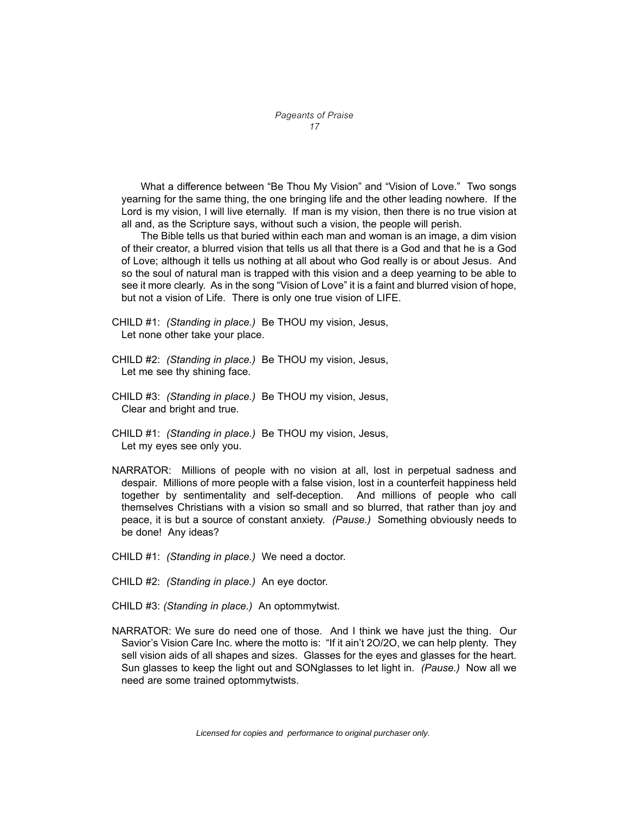What a difference between "Be Thou My Vision" and "Vision of Love." Two songs yearning for the same thing, the one bringing life and the other leading nowhere. If the Lord is my vision, I will live eternally. If man is my vision, then there is no true vision at all and, as the Scripture says, without such a vision, the people will perish.

The Bible tells us that buried within each man and woman is an image, a dim vision of their creator, a blurred vision that tells us all that there is a God and that he is a God of Love; although it tells us nothing at all about who God really is or about Jesus. And so the soul of natural man is trapped with this vision and a deep yearning to be able to see it more clearly. As in the song "Vision of Love" it is a faint and blurred vision of hope, but not a vision of Life. There is only one true vision of LIFE.

- CHILD #1: *(Standing in place.)* Be THOU my vision, Jesus, Let none other take your place.
- CHILD #2: *(Standing in place.)* Be THOU my vision, Jesus, Let me see thy shining face.
- CHILD #3: *(Standing in place.)* Be THOU my vision, Jesus, Clear and bright and true.
- CHILD #1: *(Standing in place.)* Be THOU my vision, Jesus, Let my eyes see only you.
- NARRATOR: Millions of people with no vision at all, lost in perpetual sadness and despair. Millions of more people with a false vision, lost in a counterfeit happiness held together by sentimentality and self-deception. And millions of people who call themselves Christians with a vision so small and so blurred, that rather than joy and peace, it is but a source of constant anxiety. *(Pause.)* Something obviously needs to be done! Any ideas?
- CHILD #1: *(Standing in place.)* We need a doctor.
- CHILD #2: *(Standing in place.)* An eye doctor.
- CHILD #3: *(Standing in place.)* An optommytwist.
- NARRATOR: We sure do need one of those. And I think we have just the thing. Our Savior's Vision Care Inc. where the motto is: "If it ain't 2O/2O, we can help plenty. They sell vision aids of all shapes and sizes. Glasses for the eyes and glasses for the heart. Sun glasses to keep the light out and SONglasses to let light in. *(Pause.)* Now all we need are some trained optommytwists.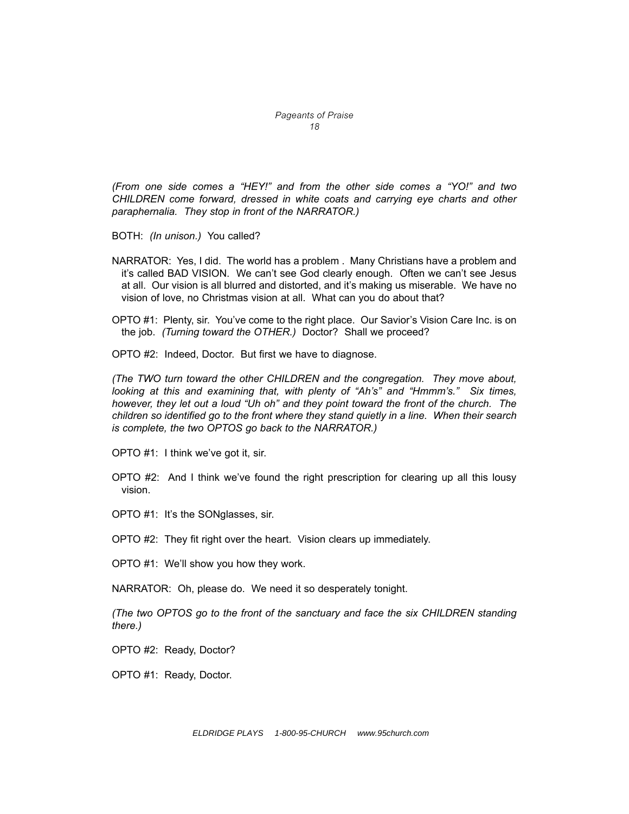*(From one side comes a "HEY!" and from the other side comes a "YO!" and two CHILDREN come forward, dressed in white coats and carrying eye charts and other paraphernalia. They stop in front of the NARRATOR.)*

BOTH: *(In unison.)* You called?

NARRATOR: Yes, I did. The world has a problem . Many Christians have a problem and it's called BAD VISION. We can't see God clearly enough. Often we can't see Jesus at all. Our vision is all blurred and distorted, and it's making us miserable. We have no vision of love, no Christmas vision at all. What can you do about that?

OPTO #1: Plenty, sir. Youíve come to the right place. Our Saviorís Vision Care Inc. is on the job. *(Turning toward the OTHER.)* Doctor? Shall we proceed?

OPTO #2: Indeed, Doctor. But first we have to diagnose.

*(The TWO turn toward the other CHILDREN and the congregation. They move about, looking at this and examining that, with plenty of "Ah's" and "Hmmm's."* Six times, *however, they let out a loud "Uh oh" and they point toward the front of the church. The children so identified go to the front where they stand quietly in a line. When their search is complete, the two OPTOS go back to the NARRATOR.)*

OPTO #1: I think we've got it, sir.

OPTO #2: And I think weíve found the right prescription for clearing up all this lousy vision.

OPTO #1: Itís the SONglasses, sir.

OPTO #2: They fit right over the heart. Vision clears up immediately.

OPTO #1: Weíll show you how they work.

NARRATOR: Oh, please do. We need it so desperately tonight.

*(The two OPTOS go to the front of the sanctuary and face the six CHILDREN standing there.)*

OPTO #2: Ready, Doctor?

OPTO #1: Ready, Doctor.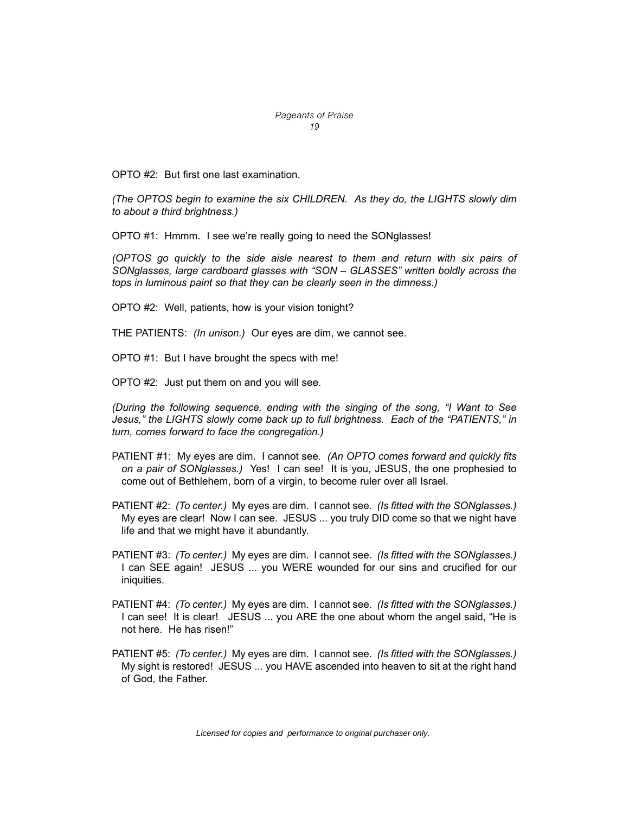OPTO #2: But first one last examination.

*(The OPTOS begin to examine the six CHILDREN. As they do, the LIGHTS slowly dim to about a third brightness.)*

OPTO #1: Hmmm. I see we're really going to need the SONglasses!

*(OPTOS go quickly to the side aisle nearest to them and return with six pairs of SONglasses, large cardboard glasses with "SON – GLASSES" written boldly across the tops in luminous paint so that they can be clearly seen in the dimness.)*

OPTO #2: Well, patients, how is your vision tonight?

THE PATIENTS: *(In unison.)* Our eyes are dim, we cannot see.

OPTO #1: But I have brought the specs with me!

OPTO #2: Just put them on and you will see.

*(During the following sequence, ending with the singing of the song, ìI Want to See Jesus,"* the LIGHTS slowly come back up to full brightness. Each of the "PATIENTS," in *turn, comes forward to face the congregation.)*

- PATIENT #1: My eyes are dim. I cannot see*. (An OPTO comes forward and quickly fits on a pair of SONglasses.)* Yes! I can see! It is you, JESUS, the one prophesied to come out of Bethlehem, born of a virgin, to become ruler over all Israel.
- PATIENT #2: *(To center.)* My eyes are dim. I cannot see. *(Is fitted with the SONglasses.)* My eyes are clear! Now I can see. JESUS ... you truly DID come so that we night have life and that we might have it abundantly.
- PATIENT #3: *(To center.)* My eyes are dim. I cannot see. *(Is fitted with the SONglasses.)* I can SEE again! JESUS ... you WERE wounded for our sins and crucified for our iniquities.
- PATIENT #4: *(To center.)* My eyes are dim. I cannot see. *(Is fitted with the SONglasses.)* I can see! It is clear! JESUS ... you ARE the one about whom the angel said, "He is not here. He has risen!"
- PATIENT #5: *(To center.)* My eyes are dim. I cannot see. *(Is fitted with the SONglasses.)* My sight is restored! JESUS ... you HAVE ascended into heaven to sit at the right hand of God, the Father.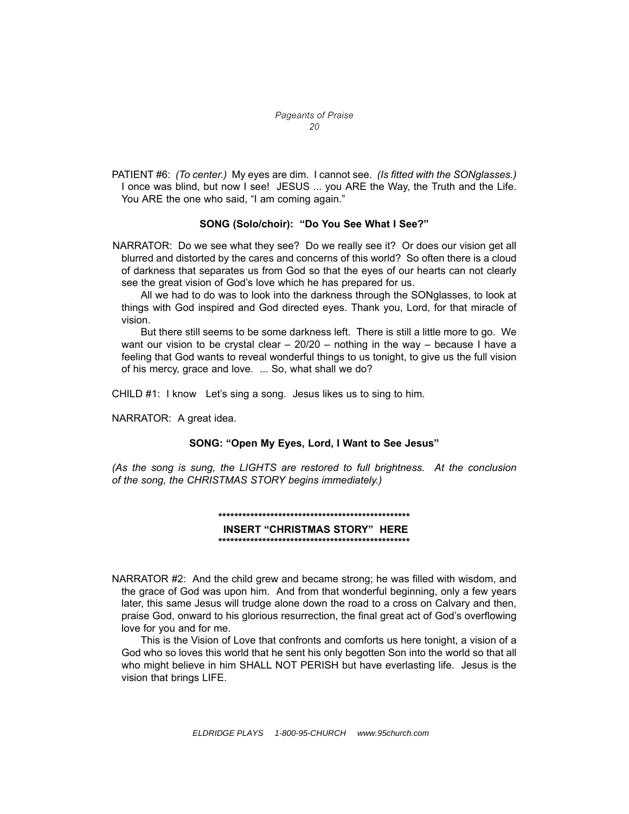PATIENT #6: *(To center.)* My eyes are dim. I cannot see. *(Is fitted with the SONglasses.)* I once was blind, but now I see! JESUS ... you ARE the Way, the Truth and the Life. You ARE the one who said, "I am coming again."

#### SONG (Solo/choir): "Do You See What I See?"

NARRATOR: Do we see what they see? Do we really see it? Or does our vision get all blurred and distorted by the cares and concerns of this world? So often there is a cloud of darkness that separates us from God so that the eyes of our hearts can not clearly see the great vision of God's love which he has prepared for us.

All we had to do was to look into the darkness through the SONglasses, to look at things with God inspired and God directed eyes. Thank you, Lord, for that miracle of vision.

But there still seems to be some darkness left. There is still a little more to go. We want our vision to be crystal clear  $-$  20/20  $-$  nothing in the way  $-$  because I have a feeling that God wants to reveal wonderful things to us tonight, to give us the full vision of his mercy, grace and love. ... So, what shall we do?

CHILD #1: I know Letís sing a song. Jesus likes us to sing to him.

NARRATOR: A great idea.

#### **SONG: "Open My Eyes, Lord, I Want to See Jesus"**

*(As the song is sung, the LIGHTS are restored to full brightness. At the conclusion of the song, the CHRISTMAS STORY begins immediately.)*

#### **\*\*\*\*\*\*\*\*\*\*\*\*\*\*\*\*\*\*\*\*\*\*\*\*\*\*\*\*\*\*\*\*\*\*\*\*\*\*\*\*\*\*\*\*\*\*\*\* INSERT "CHRISTMAS STORY" HERE \*\*\*\*\*\*\*\*\*\*\*\*\*\*\*\*\*\*\*\*\*\*\*\*\*\*\*\*\*\*\*\*\*\*\*\*\*\*\*\*\*\*\*\*\*\*\*\***

NARRATOR #2: And the child grew and became strong; he was filled with wisdom, and the grace of God was upon him. And from that wonderful beginning, only a few years later, this same Jesus will trudge alone down the road to a cross on Calvary and then, praise God, onward to his glorious resurrection, the final great act of Godís overflowing love for you and for me.

This is the Vision of Love that confronts and comforts us here tonight, a vision of a God who so loves this world that he sent his only begotten Son into the world so that all who might believe in him SHALL NOT PERISH but have everlasting life. Jesus is the vision that brings LIFE.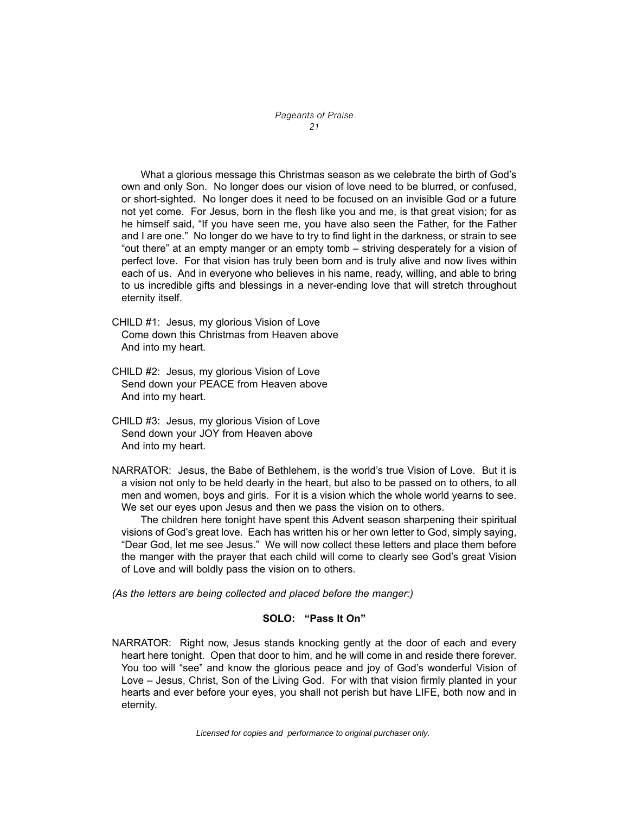What a glorious message this Christmas season as we celebrate the birth of God's own and only Son. No longer does our vision of love need to be blurred, or confused, or short-sighted. No longer does it need to be focused on an invisible God or a future not yet come. For Jesus, born in the flesh like you and me, is that great vision; for as he himself said, "If you have seen me, you have also seen the Father, for the Father and I are one." No longer do we have to try to find light in the darkness, or strain to see "out there" at an empty manger or an empty tomb - striving desperately for a vision of perfect love. For that vision has truly been born and is truly alive and now lives within each of us. And in everyone who believes in his name, ready, willing, and able to bring to us incredible gifts and blessings in a never-ending love that will stretch throughout eternity itself.

CHILD #1: Jesus, my glorious Vision of Love Come down this Christmas from Heaven above And into my heart.

- CHILD #2: Jesus, my glorious Vision of Love Send down your PEACE from Heaven above And into my heart.
- CHILD #3: Jesus, my glorious Vision of Love Send down your JOY from Heaven above And into my heart.
- NARRATOR: Jesus, the Babe of Bethlehem, is the world's true Vision of Love. But it is a vision not only to be held dearly in the heart, but also to be passed on to others, to all men and women, boys and girls. For it is a vision which the whole world yearns to see. We set our eyes upon Jesus and then we pass the vision on to others.

The children here tonight have spent this Advent season sharpening their spiritual visions of Godís great love. Each has written his or her own letter to God, simply saying, ìDear God, let me see Jesus.î We will now collect these letters and place them before the manger with the prayer that each child will come to clearly see God's great Vision of Love and will boldly pass the vision on to others.

*(As the letters are being collected and placed before the manger:)*

## **SOLO: "Pass It On"**

NARRATOR: Right now, Jesus stands knocking gently at the door of each and every heart here tonight. Open that door to him, and he will come in and reside there forever. You too will "see" and know the glorious peace and joy of God's wonderful Vision of Love – Jesus, Christ, Son of the Living God. For with that vision firmly planted in your hearts and ever before your eyes, you shall not perish but have LIFE, both now and in eternity.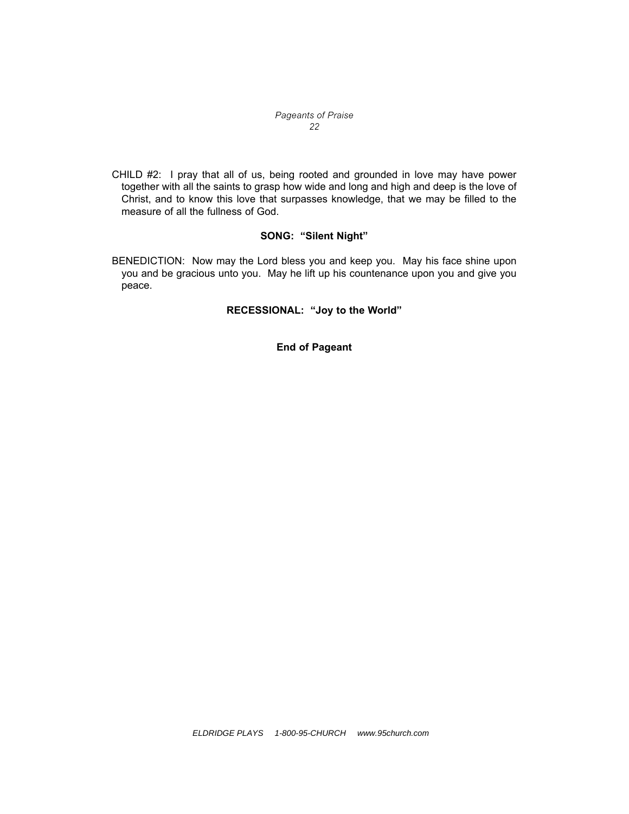CHILD #2: I pray that all of us, being rooted and grounded in love may have power together with all the saints to grasp how wide and long and high and deep is the love of Christ, and to know this love that surpasses knowledge, that we may be filled to the measure of all the fullness of God.

## **SONG: "Silent Night"**

BENEDICTION: Now may the Lord bless you and keep you. May his face shine upon you and be gracious unto you. May he lift up his countenance upon you and give you peace.

## **RECESSIONAL: "Joy to the World"**

**End of Pageant**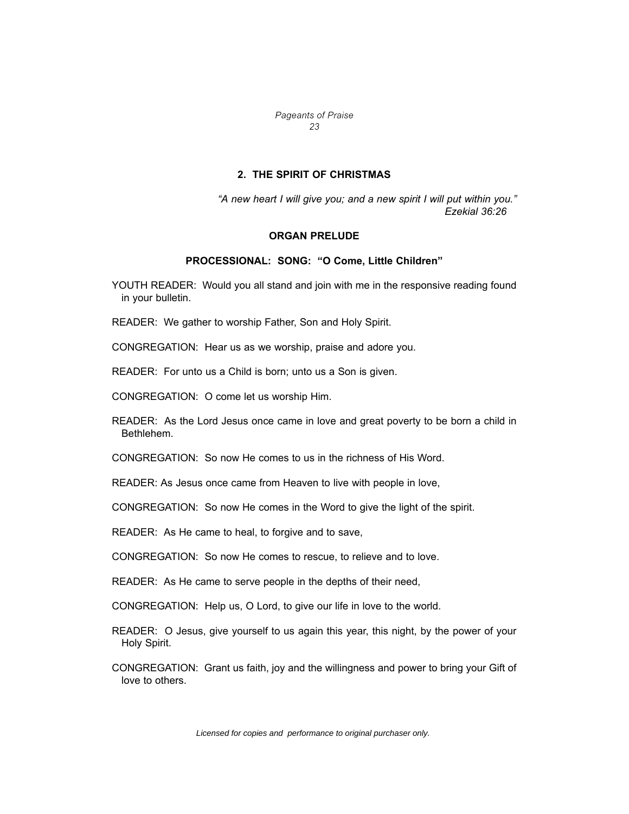## **2. THE SPIRIT OF CHRISTMAS**

*ìA new heart I will give you; and a new spirit I will put within you.î Ezekial 36:26*

#### **ORGAN PRELUDE**

#### PROCESSIONAL: SONG: "O Come, Little Children"

YOUTH READER: Would you all stand and join with me in the responsive reading found in your bulletin.

READER: We gather to worship Father, Son and Holy Spirit.

CONGREGATION: Hear us as we worship, praise and adore you.

READER: For unto us a Child is born; unto us a Son is given.

CONGREGATION: O come let us worship Him.

READER: As the Lord Jesus once came in love and great poverty to be born a child in Bethlehem.

CONGREGATION: So now He comes to us in the richness of His Word.

READER: As Jesus once came from Heaven to live with people in love,

CONGREGATION: So now He comes in the Word to give the light of the spirit.

READER: As He came to heal, to forgive and to save,

CONGREGATION: So now He comes to rescue, to relieve and to love.

READER: As He came to serve people in the depths of their need,

CONGREGATION: Help us, O Lord, to give our life in love to the world.

READER: O Jesus, give yourself to us again this year, this night, by the power of your Holy Spirit.

CONGREGATION: Grant us faith, joy and the willingness and power to bring your Gift of love to others.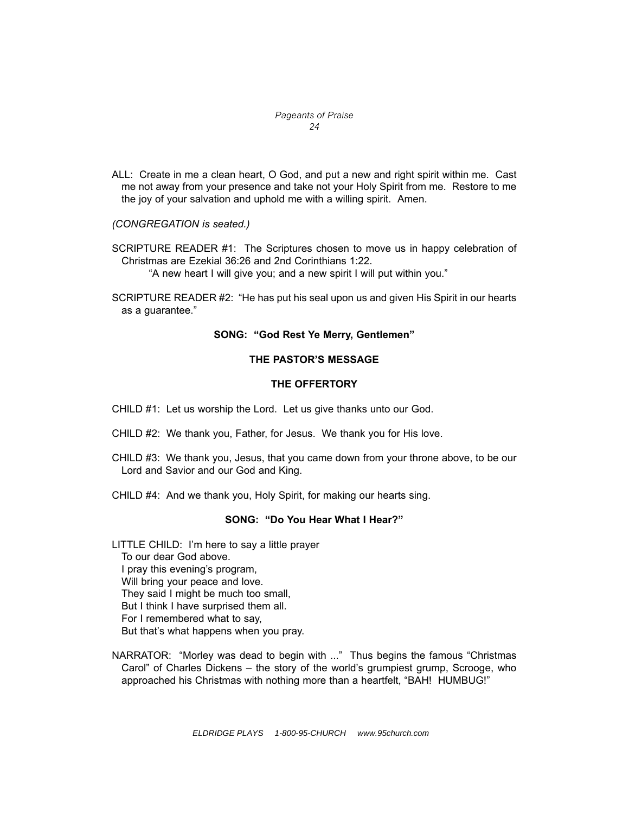- ALL: Create in me a clean heart, O God, and put a new and right spirit within me. Cast me not away from your presence and take not your Holy Spirit from me. Restore to me the joy of your salvation and uphold me with a willing spirit. Amen.
- *(CONGREGATION is seated.)*
- SCRIPTURE READER #1: The Scriptures chosen to move us in happy celebration of Christmas are Ezekial 36:26 and 2nd Corinthians 1:22.
	- "A new heart I will give you; and a new spirit I will put within you."
- SCRIPTURE READER #2: "He has put his seal upon us and given His Spirit in our hearts as a guarantee."

## **SONG: "God Rest Ye Merry, Gentlemen"**

## **THE PASTOR'S MESSAGE**

## **THE OFFERTORY**

- CHILD #1: Let us worship the Lord. Let us give thanks unto our God.
- CHILD #2: We thank you, Father, for Jesus. We thank you for His love.
- CHILD #3: We thank you, Jesus, that you came down from your throne above, to be our Lord and Savior and our God and King.
- CHILD #4: And we thank you, Holy Spirit, for making our hearts sing.

## **SONG: "Do You Hear What I Hear?"**

LITTLE CHILD: Iím here to say a little prayer To our dear God above. I pray this evening's program, Will bring your peace and love. They said I might be much too small, But I think I have surprised them all. For I remembered what to say, But that's what happens when you pray.

NARRATOR: "Morley was dead to begin with ..." Thus begins the famous "Christmas Carol" of Charles Dickens – the story of the world's grumpiest grump, Scrooge, who approached his Christmas with nothing more than a heartfelt, "BAH! HUMBUG!"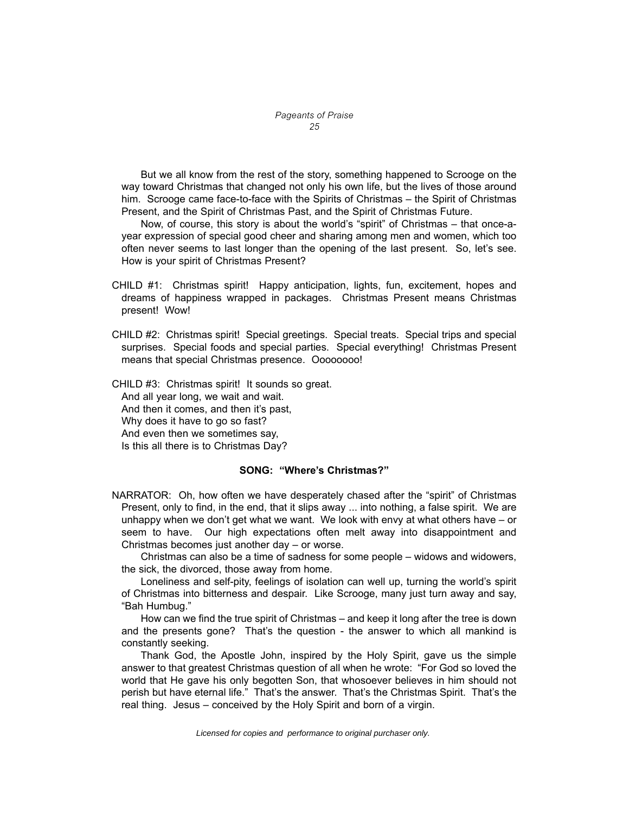But we all know from the rest of the story, something happened to Scrooge on the way toward Christmas that changed not only his own life, but the lives of those around him. Scrooge came face-to-face with the Spirits of Christmas – the Spirit of Christmas Present, and the Spirit of Christmas Past, and the Spirit of Christmas Future.

Now, of course, this story is about the world's "spirit" of Christmas  $-$  that once-ayear expression of special good cheer and sharing among men and women, which too often never seems to last longer than the opening of the last present. So, let's see. How is your spirit of Christmas Present?

- CHILD #1: Christmas spirit! Happy anticipation, lights, fun, excitement, hopes and dreams of happiness wrapped in packages. Christmas Present means Christmas present! Wow!
- CHILD #2: Christmas spirit! Special greetings. Special treats. Special trips and special surprises. Special foods and special parties. Special everything! Christmas Present means that special Christmas presence. Oooooooo!

CHILD #3: Christmas spirit! It sounds so great. And all year long, we wait and wait. And then it comes, and then it's past, Why does it have to go so fast? And even then we sometimes say, Is this all there is to Christmas Day?

## **SONG: "Where's Christmas?"**

NARRATOR: Oh, how often we have desperately chased after the "spirit" of Christmas Present, only to find, in the end, that it slips away ... into nothing, a false spirit. We are unhappy when we don't get what we want. We look with envy at what others have  $-$  or seem to have. Our high expectations often melt away into disappointment and Christmas becomes just another day  $-$  or worse.

Christmas can also be a time of sadness for some people – widows and widowers, the sick, the divorced, those away from home.

Loneliness and self-pity, feelings of isolation can well up, turning the world's spirit of Christmas into bitterness and despair. Like Scrooge, many just turn away and say, "Bah Humbug."

How can we find the true spirit of Christmas – and keep it long after the tree is down and the presents gone? That's the question - the answer to which all mankind is constantly seeking.

Thank God, the Apostle John, inspired by the Holy Spirit, gave us the simple answer to that greatest Christmas question of all when he wrote: "For God so loved the world that He gave his only begotten Son, that whosoever believes in him should not perish but have eternal life." That's the answer. That's the Christmas Spirit. That's the real thing. Jesus – conceived by the Holy Spirit and born of a virgin.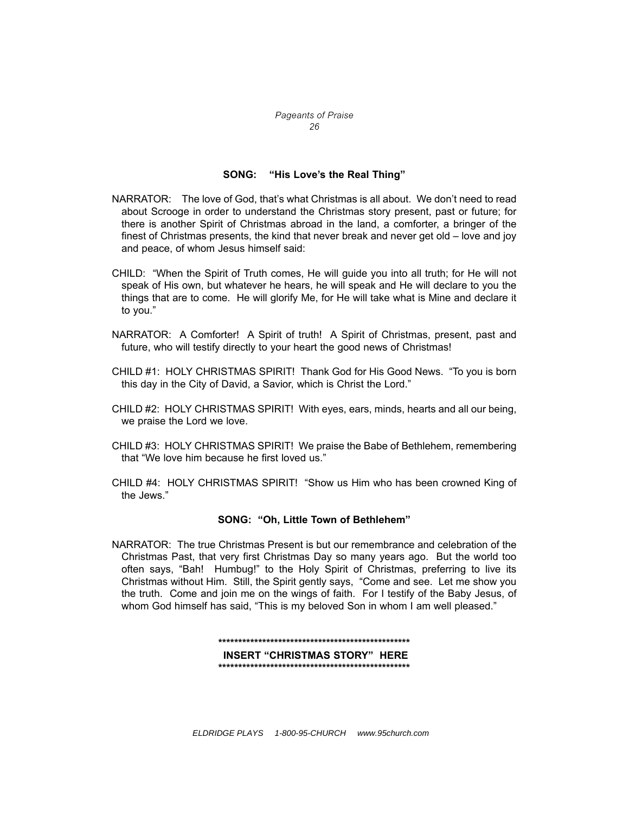#### **SONG:** "His Love's the Real Thing"

- NARRATOR: The love of God, that's what Christmas is all about. We don't need to read about Scrooge in order to understand the Christmas story present, past or future; for there is another Spirit of Christmas abroad in the land, a comforter, a bringer of the finest of Christmas presents, the kind that never break and never get old  $-$  love and joy and peace, of whom Jesus himself said:
- CHILD: "When the Spirit of Truth comes, He will guide you into all truth; for He will not speak of His own, but whatever he hears, he will speak and He will declare to you the things that are to come. He will glorify Me, for He will take what is Mine and declare it to you."
- NARRATOR: A Comforter! A Spirit of truth! A Spirit of Christmas, present, past and future, who will testify directly to your heart the good news of Christmas!
- CHILD #1: HOLY CHRISTMAS SPIRIT! Thank God for His Good News. "To you is born this day in the City of David, a Savior, which is Christ the Lord."
- CHILD #2: HOLY CHRISTMAS SPIRIT! With eyes, ears, minds, hearts and all our being, we praise the Lord we love.
- CHILD #3: HOLY CHRISTMAS SPIRIT! We praise the Babe of Bethlehem, remembering that "We love him because he first loved us."
- CHILD #4: HOLY CHRISTMAS SPIRIT! "Show us Him who has been crowned King of the Jews."

#### **SONG: "Oh, Little Town of Bethlehem"**

NARRATOR: The true Christmas Present is but our remembrance and celebration of the Christmas Past, that very first Christmas Day so many years ago. But the world too often says, "Bah! Humbug!" to the Holy Spirit of Christmas, preferring to live its Christmas without Him. Still, the Spirit gently says, "Come and see. Let me show you the truth. Come and join me on the wings of faith. For I testify of the Baby Jesus, of whom God himself has said, "This is my beloved Son in whom I am well pleased."

## **\*\*\*\*\*\*\*\*\*\*\*\*\*\*\*\*\*\*\*\*\*\*\*\*\*\*\*\*\*\*\*\*\*\*\*\*\*\*\*\*\*\*\*\*\*\*\*\***

**INSERT "CHRISTMAS STORY" HERE \*\*\*\*\*\*\*\*\*\*\*\*\*\*\*\*\*\*\*\*\*\*\*\*\*\*\*\*\*\*\*\*\*\*\*\*\*\*\*\*\*\*\*\*\*\*\*\***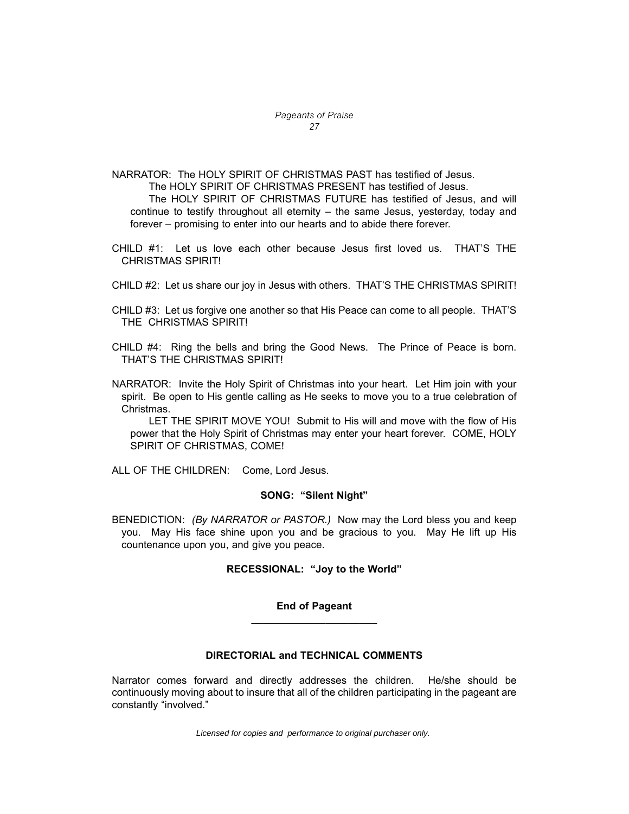NARRATOR: The HOLY SPIRIT OF CHRISTMAS PAST has testified of Jesus. The HOLY SPIRIT OF CHRISTMAS PRESENT has testified of Jesus.

The HOLY SPIRIT OF CHRISTMAS FUTURE has testified of Jesus, and will continue to testify throughout all eternity  $-$  the same Jesus, yesterday, today and forever – promising to enter into our hearts and to abide there forever.

- CHILD  $#1$ : Let us love each other because Jesus first loved us. THAT'S THE CHRISTMAS SPIRIT!
- CHILD #2: Let us share our joy in Jesus with others. THAT'S THE CHRISTMAS SPIRIT!
- CHILD #3: Let us forgive one another so that His Peace can come to all people. THATíS THE CHRISTMAS SPIRIT!

CHILD #4: Ring the bells and bring the Good News. The Prince of Peace is born. THAT'S THE CHRISTMAS SPIRIT!

NARRATOR: Invite the Holy Spirit of Christmas into your heart. Let Him join with your spirit. Be open to His gentle calling as He seeks to move you to a true celebration of Christmas.

LET THE SPIRIT MOVE YOU! Submit to His will and move with the flow of His power that the Holy Spirit of Christmas may enter your heart forever. COME, HOLY SPIRIT OF CHRISTMAS, COME!

ALL OF THE CHILDREN: Come, Lord Jesus.

## **SONG: "Silent Night"**

BENEDICTION: *(By NARRATOR or PASTOR.)* Now may the Lord bless you and keep you. May His face shine upon you and be gracious to you. May He lift up His countenance upon you, and give you peace.

## **RECESSIONAL: "Joy to the World"**

**End of Pageant \_\_\_\_\_\_\_\_\_\_\_\_\_\_\_\_\_\_\_\_\_\_**

## **DIRECTORIAL and TECHNICAL COMMENTS**

Narrator comes forward and directly addresses the children. He/she should be continuously moving about to insure that all of the children participating in the pageant are constantly "involved."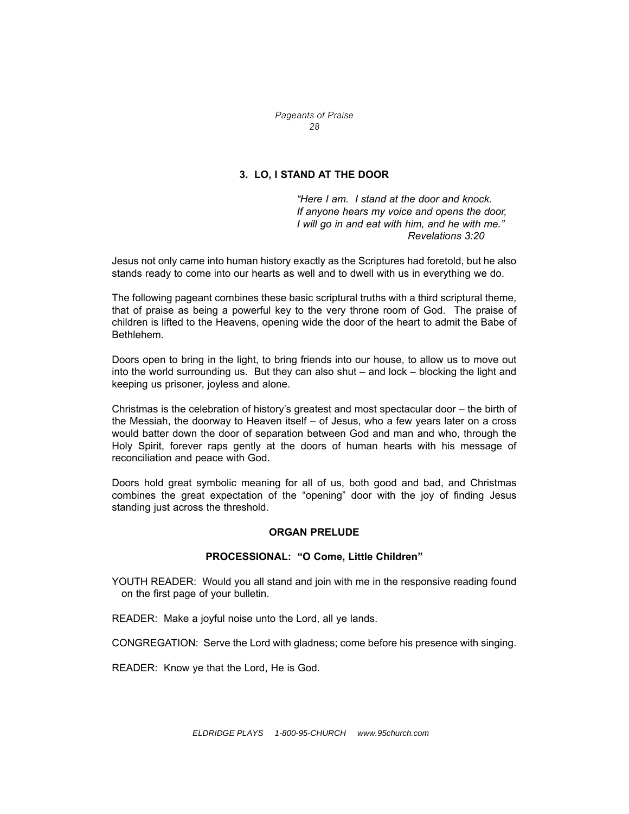## **3. LO, I STAND AT THE DOOR**

*ìHere I am. I stand at the door and knock. If anyone hears my voice and opens the door, I* will go in and eat with him, and he with me." *Revelations 3:20*

Jesus not only came into human history exactly as the Scriptures had foretold, but he also stands ready to come into our hearts as well and to dwell with us in everything we do.

The following pageant combines these basic scriptural truths with a third scriptural theme, that of praise as being a powerful key to the very throne room of God. The praise of children is lifted to the Heavens, opening wide the door of the heart to admit the Babe of Bethlehem.

Doors open to bring in the light, to bring friends into our house, to allow us to move out into the world surrounding us. But they can also shut  $-$  and lock  $-$  blocking the light and keeping us prisoner, joyless and alone.

Christmas is the celebration of history's greatest and most spectacular door – the birth of the Messiah, the doorway to Heaven itself  $-$  of Jesus, who a few years later on a cross would batter down the door of separation between God and man and who, through the Holy Spirit, forever raps gently at the doors of human hearts with his message of reconciliation and peace with God.

Doors hold great symbolic meaning for all of us, both good and bad, and Christmas combines the great expectation of the "opening" door with the joy of finding Jesus standing just across the threshold.

#### **ORGAN PRELUDE**

#### **PROCESSIONAL: "O Come, Little Children"**

YOUTH READER: Would you all stand and join with me in the responsive reading found on the first page of your bulletin.

READER: Make a joyful noise unto the Lord, all ye lands.

CONGREGATION: Serve the Lord with gladness; come before his presence with singing.

READER: Know ye that the Lord, He is God.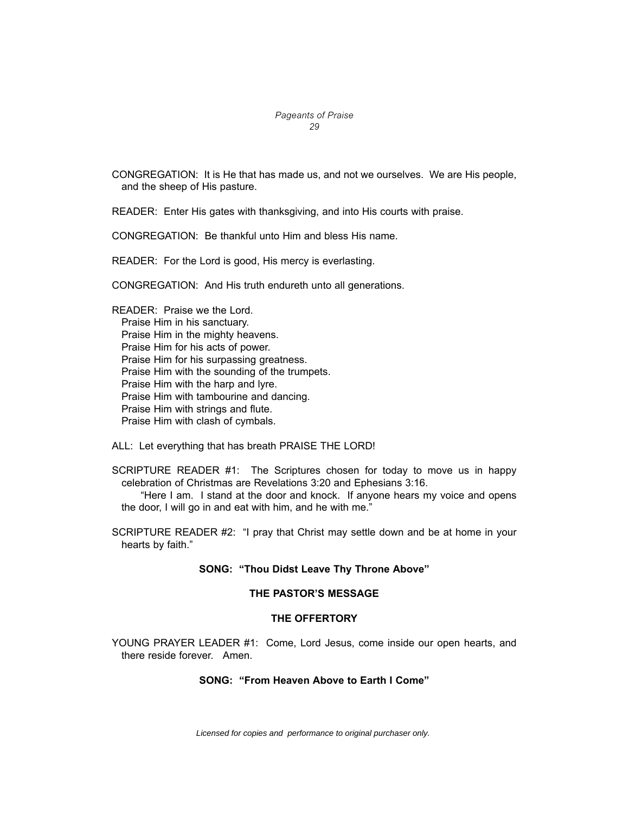CONGREGATION: It is He that has made us, and not we ourselves. We are His people, and the sheep of His pasture.

READER: Enter His gates with thanksgiving, and into His courts with praise.

CONGREGATION: Be thankful unto Him and bless His name.

READER: For the Lord is good, His mercy is everlasting.

CONGREGATION: And His truth endureth unto all generations.

READER: Praise we the Lord. Praise Him in his sanctuary. Praise Him in the mighty heavens. Praise Him for his acts of power. Praise Him for his surpassing greatness. Praise Him with the sounding of the trumpets. Praise Him with the harp and lyre. Praise Him with tambourine and dancing. Praise Him with strings and flute. Praise Him with clash of cymbals.

ALL: Let everything that has breath PRAISE THE LORD!

SCRIPTURE READER #1: The Scriptures chosen for today to move us in happy celebration of Christmas are Revelations 3:20 and Ephesians 3:16.

"Here I am. I stand at the door and knock. If anyone hears my voice and opens the door, I will go in and eat with him, and he with me."

SCRIPTURE READER #2: "I pray that Christ may settle down and be at home in your hearts by faith."

## **SONG: "Thou Didst Leave Thy Throne Above"**

## **THE PASTOR'S MESSAGE**

#### **THE OFFERTORY**

YOUNG PRAYER LEADER #1: Come, Lord Jesus, come inside our open hearts, and there reside forever. Amen.

## **SONG: "From Heaven Above to Earth I Come"**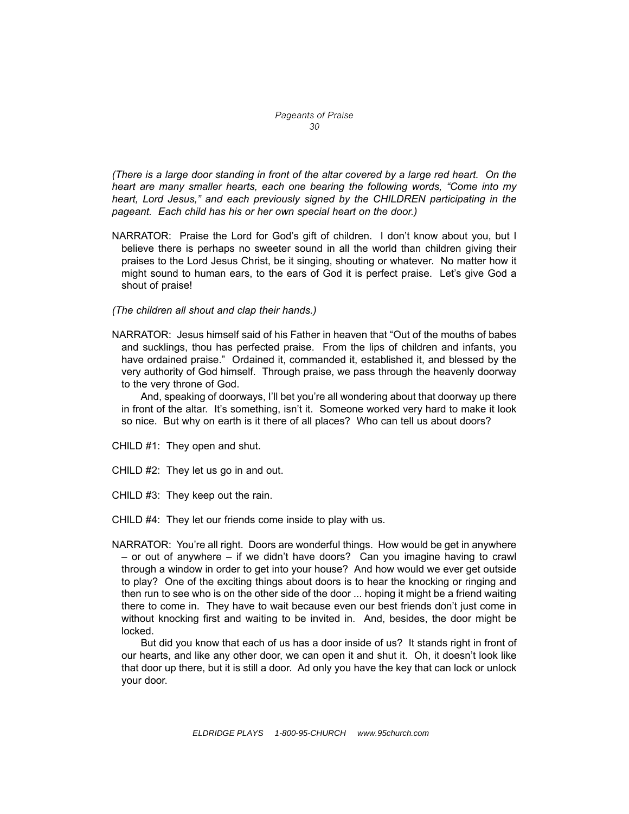*(There is a large door standing in front of the altar covered by a large red heart. On the* heart are many smaller hearts, each one bearing the following words, "Come into my *heart, Lord Jesus,"* and each previously signed by the CHILDREN participating in the *pageant. Each child has his or her own special heart on the door.)*

NARRATOR: Praise the Lord for Godís gift of children. I donít know about you, but I believe there is perhaps no sweeter sound in all the world than children giving their praises to the Lord Jesus Christ, be it singing, shouting or whatever. No matter how it might sound to human ears, to the ears of God it is perfect praise. Let's give God a shout of praise!

*(The children all shout and clap their hands.)*

NARRATOR: Jesus himself said of his Father in heaven that "Out of the mouths of babes" and sucklings, thou has perfected praise. From the lips of children and infants, you have ordained praise." Ordained it, commanded it, established it, and blessed by the very authority of God himself. Through praise, we pass through the heavenly doorway to the very throne of God.

And, speaking of doorways, Iíll bet youíre all wondering about that doorway up there in front of the altar. Itís something, isnít it. Someone worked very hard to make it look so nice. But why on earth is it there of all places? Who can tell us about doors?

CHILD #1: They open and shut.

CHILD #2: They let us go in and out.

CHILD #3: They keep out the rain.

CHILD #4: They let our friends come inside to play with us.

NARRATOR: Youíre all right. Doors are wonderful things. How would be get in anywhere  $-$  or out of anywhere  $-$  if we didn't have doors? Can you imagine having to crawl through a window in order to get into your house? And how would we ever get outside to play? One of the exciting things about doors is to hear the knocking or ringing and then run to see who is on the other side of the door ... hoping it might be a friend waiting there to come in. They have to wait because even our best friends donít just come in without knocking first and waiting to be invited in. And, besides, the door might be locked.

But did you know that each of us has a door inside of us? It stands right in front of our hearts, and like any other door, we can open it and shut it. Oh, it doesn't look like that door up there, but it is still a door. Ad only you have the key that can lock or unlock your door.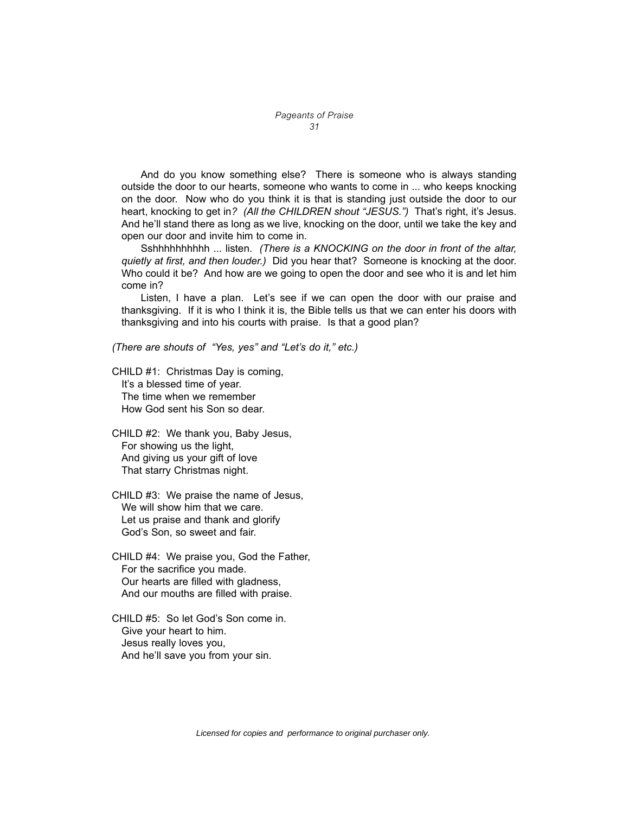And do you know something else? There is someone who is always standing outside the door to our hearts, someone who wants to come in ... who keeps knocking on the door. Now who do you think it is that is standing just outside the door to our heart, knocking to get in? (All the CHILDREN shout "JESUS.") That's right, it's Jesus. And heíll stand there as long as we live, knocking on the door, until we take the key and open our door and invite him to come in.

Sshhhhhhhhhh ... listen. *(There is a KNOCKING on the door in front of the altar, quietly at first, and then louder.)* Did you hear that? Someone is knocking at the door. Who could it be? And how are we going to open the door and see who it is and let him come in?

Listen, I have a plan. Let's see if we can open the door with our praise and thanksgiving. If it is who I think it is, the Bible tells us that we can enter his doors with thanksgiving and into his courts with praise. Is that a good plan?

*(There are shouts of "Yes, yes" and "Let's do it," etc.)* 

CHILD #1: Christmas Day is coming, It's a blessed time of year. The time when we remember How God sent his Son so dear.

CHILD #2: We thank you, Baby Jesus, For showing us the light, And giving us your gift of love That starry Christmas night.

CHILD #3: We praise the name of Jesus, We will show him that we care. Let us praise and thank and glorify God's Son, so sweet and fair.

CHILD #4: We praise you, God the Father, For the sacrifice you made. Our hearts are filled with gladness, And our mouths are filled with praise.

CHILD #5: So let God's Son come in. Give your heart to him. Jesus really loves you, And he'll save you from your sin.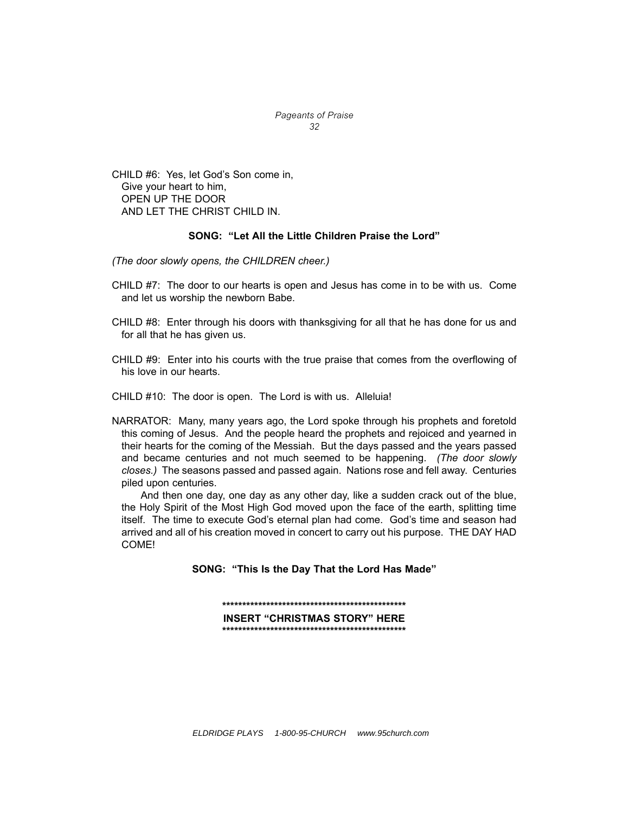CHILD #6: Yes, let God's Son come in, Give your heart to him, OPEN UP THE DOOR AND LET THE CHRIST CHILD IN.

#### **SONG: "Let All the Little Children Praise the Lord"**

*(The door slowly opens, the CHILDREN cheer.)*

- CHILD #7: The door to our hearts is open and Jesus has come in to be with us. Come and let us worship the newborn Babe.
- CHILD #8: Enter through his doors with thanksgiving for all that he has done for us and for all that he has given us.
- CHILD #9: Enter into his courts with the true praise that comes from the overflowing of his love in our hearts.

CHILD #10: The door is open. The Lord is with us. Alleluia!

NARRATOR: Many, many years ago, the Lord spoke through his prophets and foretold this coming of Jesus. And the people heard the prophets and rejoiced and yearned in their hearts for the coming of the Messiah. But the days passed and the years passed and became centuries and not much seemed to be happening. *(The door slowly closes.)* The seasons passed and passed again. Nations rose and fell away. Centuries piled upon centuries.

And then one day, one day as any other day, like a sudden crack out of the blue, the Holy Spirit of the Most High God moved upon the face of the earth, splitting time itself. The time to execute God's eternal plan had come. God's time and season had arrived and all of his creation moved in concert to carry out his purpose. THE DAY HAD COME!

**SONG: "This Is the Day That the Lord Has Made"** 

**\*\*\*\*\*\*\*\*\*\*\*\*\*\*\*\*\*\*\*\*\*\*\*\*\*\*\*\*\*\*\*\*\*\*\*\*\*\*\*\*\*\*\*\*\*\* INSERT "CHRISTMAS STORY" HERE \*\*\*\*\*\*\*\*\*\*\*\*\*\*\*\*\*\*\*\*\*\*\*\*\*\*\*\*\*\*\*\*\*\*\*\*\*\*\*\*\*\*\*\*\*\***

ELDRIDGE PLAYS 1-800-95-CHURCH www.95church.com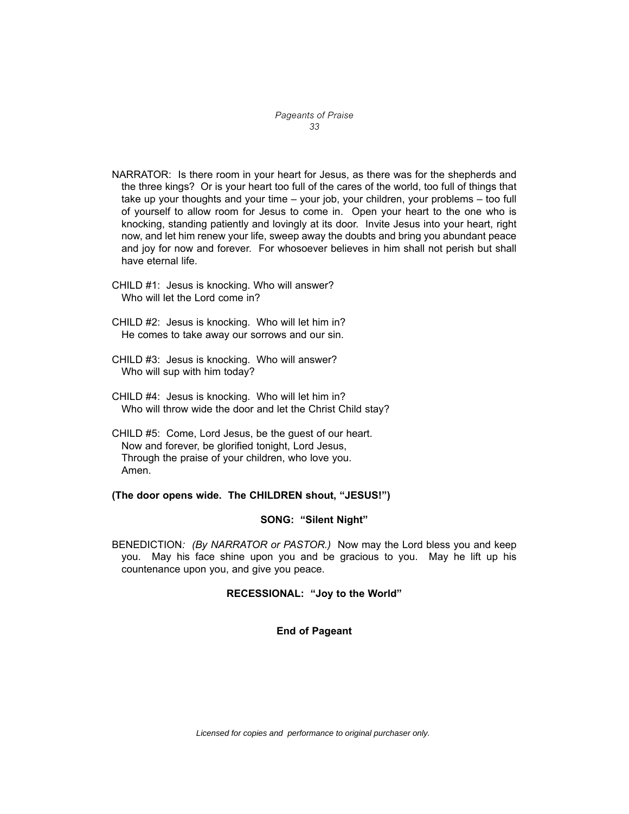- NARRATOR: Is there room in your heart for Jesus, as there was for the shepherds and the three kings? Or is your heart too full of the cares of the world, too full of things that take up your thoughts and your time  $-$  your job, your children, your problems  $-$  too full of yourself to allow room for Jesus to come in. Open your heart to the one who is knocking, standing patiently and lovingly at its door. Invite Jesus into your heart, right now, and let him renew your life, sweep away the doubts and bring you abundant peace and joy for now and forever. For whosoever believes in him shall not perish but shall have eternal life.
- CHILD #1: Jesus is knocking. Who will answer? Who will let the Lord come in?
- CHILD #2: Jesus is knocking. Who will let him in? He comes to take away our sorrows and our sin.
- CHILD #3: Jesus is knocking. Who will answer? Who will sup with him today?
- CHILD #4: Jesus is knocking. Who will let him in? Who will throw wide the door and let the Christ Child stay?
- CHILD #5: Come, Lord Jesus, be the guest of our heart. Now and forever, be glorified tonight, Lord Jesus, Through the praise of your children, who love you. Amen.

## (The door opens wide. The CHILDREN shout, "JESUS!")

#### **SONG: "Silent Night"**

BENEDICTION*: (By NARRATOR or PASTOR.)* Now may the Lord bless you and keep you. May his face shine upon you and be gracious to you. May he lift up his countenance upon you, and give you peace.

## **RECESSIONAL: "Joy to the World"**

## **End of Pageant**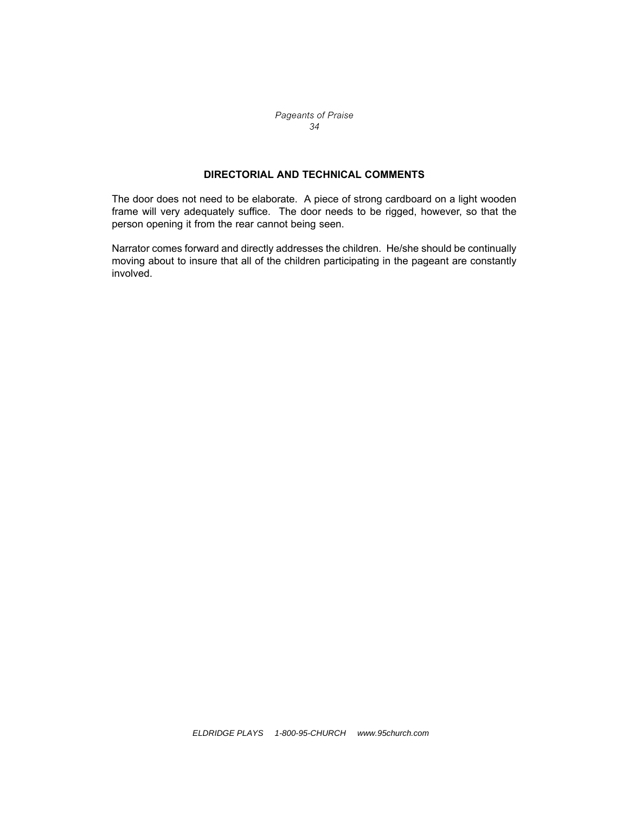## **DIRECTORIAL AND TECHNICAL COMMENTS**

The door does not need to be elaborate. A piece of strong cardboard on a light wooden frame will very adequately suffice. The door needs to be rigged, however, so that the person opening it from the rear cannot being seen.

Narrator comes forward and directly addresses the children. He/she should be continually moving about to insure that all of the children participating in the pageant are constantly involved.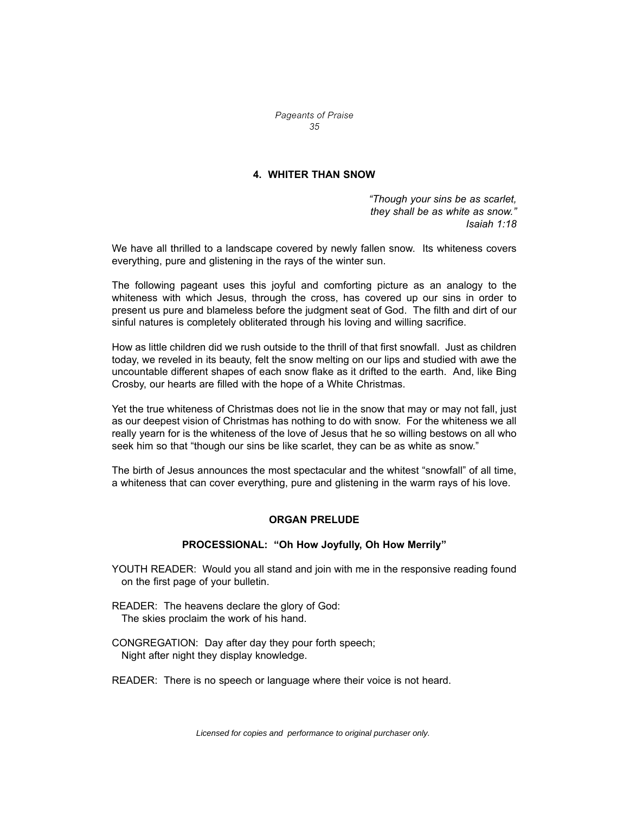## **4. WHITER THAN SNOW**

*ìThough your sins be as scarlet, they shall be as white as snow.*" *Isaiah 1:18*

We have all thrilled to a landscape covered by newly fallen snow. Its whiteness covers everything, pure and glistening in the rays of the winter sun.

The following pageant uses this joyful and comforting picture as an analogy to the whiteness with which Jesus, through the cross, has covered up our sins in order to present us pure and blameless before the judgment seat of God. The filth and dirt of our sinful natures is completely obliterated through his loving and willing sacrifice.

How as little children did we rush outside to the thrill of that first snowfall. Just as children today, we reveled in its beauty, felt the snow melting on our lips and studied with awe the uncountable different shapes of each snow flake as it drifted to the earth. And, like Bing Crosby, our hearts are filled with the hope of a White Christmas.

Yet the true whiteness of Christmas does not lie in the snow that may or may not fall, just as our deepest vision of Christmas has nothing to do with snow. For the whiteness we all really yearn for is the whiteness of the love of Jesus that he so willing bestows on all who seek him so that "though our sins be like scarlet, they can be as white as snow."

The birth of Jesus announces the most spectacular and the whitest "snowfall" of all time, a whiteness that can cover everything, pure and glistening in the warm rays of his love.

## **ORGAN PRELUDE**

#### PROCESSIONAL: "Oh How Joyfully, Oh How Merrily"

YOUTH READER: Would you all stand and join with me in the responsive reading found on the first page of your bulletin.

- READER: The heavens declare the glory of God: The skies proclaim the work of his hand.
- CONGREGATION: Day after day they pour forth speech; Night after night they display knowledge.
- READER: There is no speech or language where their voice is not heard.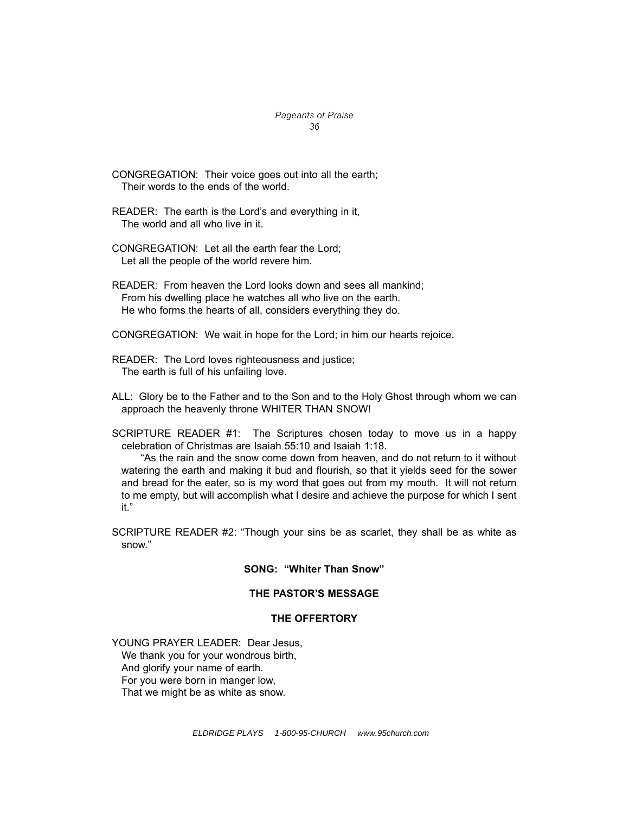CONGREGATION: Their voice goes out into all the earth; Their words to the ends of the world.

READER: The earth is the Lord's and everything in it, The world and all who live in it.

CONGREGATION: Let all the earth fear the Lord; Let all the people of the world revere him.

READER: From heaven the Lord looks down and sees all mankind; From his dwelling place he watches all who live on the earth. He who forms the hearts of all, considers everything they do.

CONGREGATION: We wait in hope for the Lord; in him our hearts rejoice.

READER: The Lord loves righteousness and justice; The earth is full of his unfailing love.

ALL: Glory be to the Father and to the Son and to the Holy Ghost through whom we can approach the heavenly throne WHITER THAN SNOW!

SCRIPTURE READER #1: The Scriptures chosen today to move us in a happy celebration of Christmas are Isaiah 55:10 and Isaiah 1:18.

"As the rain and the snow come down from heaven, and do not return to it without watering the earth and making it bud and flourish, so that it yields seed for the sower and bread for the eater, so is my word that goes out from my mouth. It will not return to me empty, but will accomplish what I desire and achieve the purpose for which I sent it."

SCRIPTURE READER  $#2$ : "Though your sins be as scarlet, they shall be as white as snow."

**SONG: "Whiter Than Snow"** 

## **THE PASTOR'S MESSAGE**

## **THE OFFERTORY**

YOUNG PRAYER LEADER: Dear Jesus, We thank you for your wondrous birth, And glorify your name of earth. For you were born in manger low, That we might be as white as snow.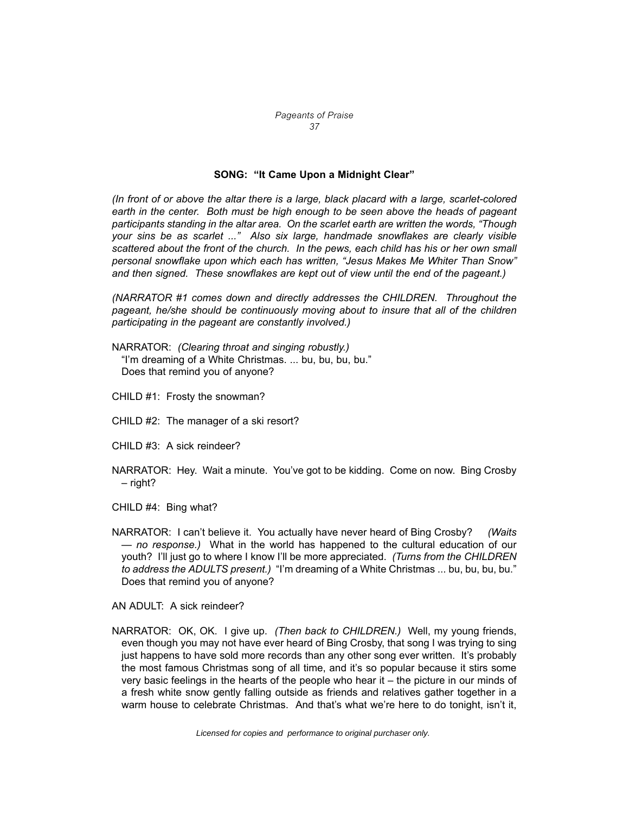## **SONG: "It Came Upon a Midnight Clear"**

*(In front of or above the altar there is a large, black placard with a large, scarlet-colored earth in the center. Both must be high enough to be seen above the heads of pageant participants standing in the altar area. On the scarlet earth are written the words, ìThough your sins be as scarlet ...î Also six large, handmade snowflakes are clearly visible scattered about the front of the church. In the pews, each child has his or her own small personal snowflake upon which each has written, ìJesus Makes Me Whiter Than Snowî and then signed. These snowflakes are kept out of view until the end of the pageant.)*

*(NARRATOR #1 comes down and directly addresses the CHILDREN. Throughout the pageant, he/she should be continuously moving about to insure that all of the children participating in the pageant are constantly involved.)*

- NARRATOR: *(Clearing throat and singing robustly.)* "I'm dreaming of a White Christmas. ... bu, bu, bu, bu." Does that remind you of anyone?
- CHILD #1: Frosty the snowman?
- CHILD #2: The manager of a ski resort?
- CHILD #3: A sick reindeer?
- NARRATOR: Hey. Wait a minute. Youíve got to be kidding. Come on now. Bing Crosby  $-$  right?

CHILD #4: Bing what?

NARRATOR: I canít believe it. You actually have never heard of Bing Crosby? *(Waits – no response.)* What in the world has happened to the cultural education of our youth? Iíll just go to where I know Iíll be more appreciated. *(Turns from the CHILDREN* to address the ADULTS present.) "I'm dreaming of a White Christmas ... bu, bu, bu, bu." Does that remind you of anyone?

AN ADULT: A sick reindeer?

NARRATOR: OK, OK. I give up. *(Then back to CHILDREN.)* Well, my young friends, even though you may not have ever heard of Bing Crosby, that song I was trying to sing just happens to have sold more records than any other song ever written. It's probably the most famous Christmas song of all time, and itís so popular because it stirs some very basic feelings in the hearts of the people who hear it  $-$  the picture in our minds of a fresh white snow gently falling outside as friends and relatives gather together in a warm house to celebrate Christmas. And that's what we're here to do tonight, isn't it,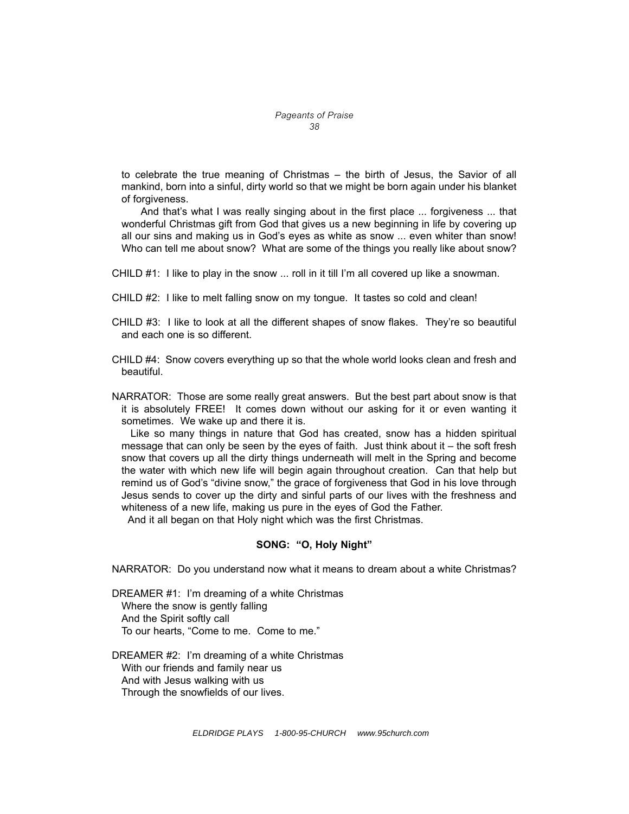to celebrate the true meaning of Christmas – the birth of Jesus, the Savior of all mankind, born into a sinful, dirty world so that we might be born again under his blanket of forgiveness.

And thatís what I was really singing about in the first place ... forgiveness ... that wonderful Christmas gift from God that gives us a new beginning in life by covering up all our sins and making us in God's eyes as white as snow ... even whiter than snow! Who can tell me about snow? What are some of the things you really like about snow?

CHILD #1: I like to play in the snow ... roll in it till Iím all covered up like a snowman.

- CHILD #2: I like to melt falling snow on my tongue. It tastes so cold and clean!
- CHILD #3: I like to look at all the different shapes of snow flakes. Theyíre so beautiful and each one is so different.

CHILD #4: Snow covers everything up so that the whole world looks clean and fresh and beautiful.

NARRATOR: Those are some really great answers. But the best part about snow is that it is absolutely FREE! It comes down without our asking for it or even wanting it sometimes. We wake up and there it is.

Like so many things in nature that God has created, snow has a hidden spiritual message that can only be seen by the eyes of faith. Just think about it  $-$  the soft fresh snow that covers up all the dirty things underneath will melt in the Spring and become the water with which new life will begin again throughout creation. Can that help but remind us of God's "divine snow," the grace of forgiveness that God in his love through Jesus sends to cover up the dirty and sinful parts of our lives with the freshness and whiteness of a new life, making us pure in the eyes of God the Father.

And it all began on that Holy night which was the first Christmas.

## **SONG: "O, Holy Night"**

NARRATOR: Do you understand now what it means to dream about a white Christmas?

DREAMER #1: Iím dreaming of a white Christmas Where the snow is gently falling And the Spirit softly call To our hearts, "Come to me. Come to me."

DREAMER #2: Iím dreaming of a white Christmas With our friends and family near us And with Jesus walking with us Through the snowfields of our lives.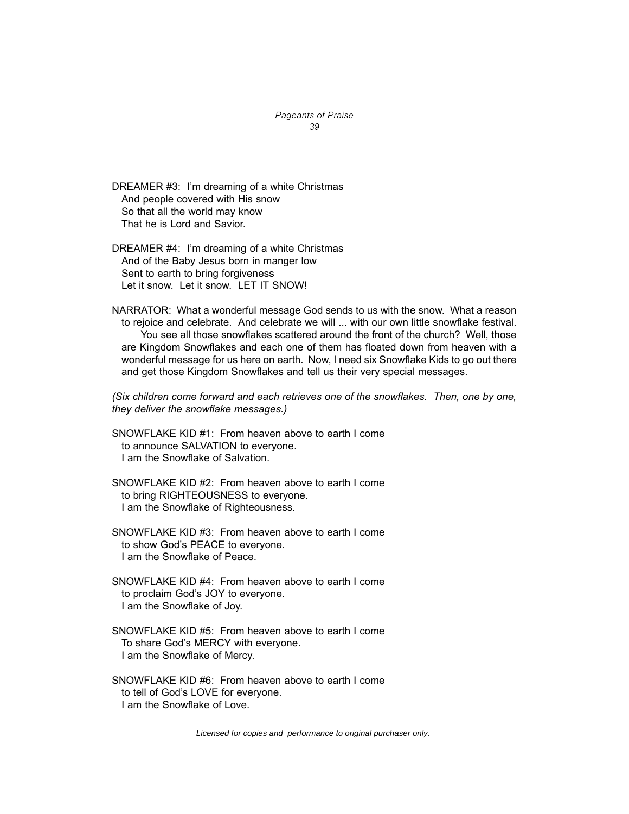DREAMER #3: Iím dreaming of a white Christmas And people covered with His snow So that all the world may know That he is Lord and Savior.

DREAMER #4: Iím dreaming of a white Christmas And of the Baby Jesus born in manger low Sent to earth to bring forgiveness Let it snow. Let it snow. LET IT SNOW!

NARRATOR: What a wonderful message God sends to us with the snow. What a reason to rejoice and celebrate. And celebrate we will ... with our own little snowflake festival. You see all those snowflakes scattered around the front of the church? Well, those are Kingdom Snowflakes and each one of them has floated down from heaven with a wonderful message for us here on earth. Now, I need six Snowflake Kids to go out there and get those Kingdom Snowflakes and tell us their very special messages.

*(Six children come forward and each retrieves one of the snowflakes. Then, one by one, they deliver the snowflake messages.)*

SNOWFLAKE KID #1: From heaven above to earth I come to announce SALVATION to everyone. I am the Snowflake of Salvation.

SNOWFLAKE KID #2: From heaven above to earth I come to bring RIGHTEOUSNESS to everyone. I am the Snowflake of Righteousness.

SNOWFLAKE KID #3: From heaven above to earth I come to show God's PEACE to everyone. I am the Snowflake of Peace.

SNOWFLAKE KID #4: From heaven above to earth I come to proclaim God's JOY to everyone. I am the Snowflake of Joy.

SNOWFLAKE KID #5: From heaven above to earth I come To share God's MERCY with everyone. I am the Snowflake of Mercy.

SNOWFLAKE KID #6: From heaven above to earth I come to tell of God's LOVE for everyone. I am the Snowflake of Love.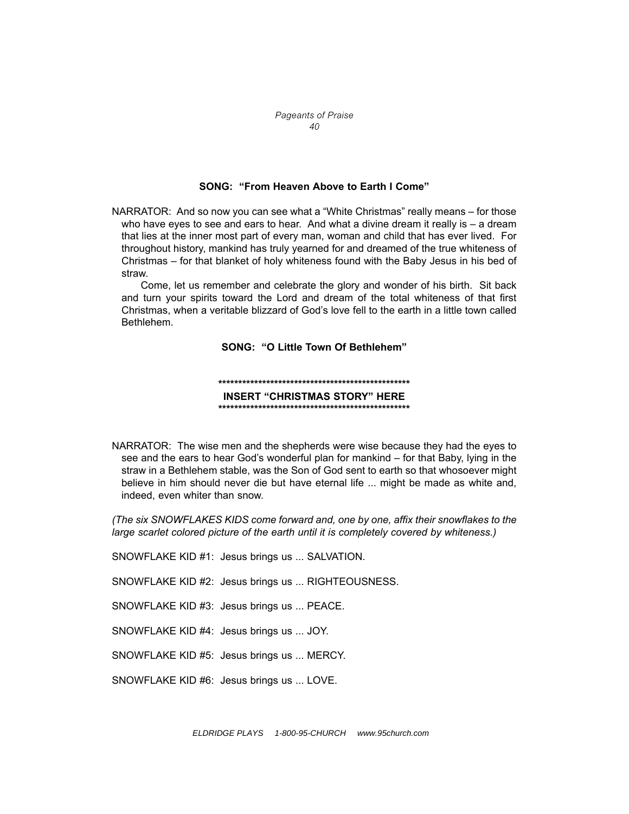## **SONG: "From Heaven Above to Earth I Come"**

NARRATOR: And so now you can see what a "White Christmas" really means – for those who have eyes to see and ears to hear. And what a divine dream it really is  $-$  a dream that lies at the inner most part of every man, woman and child that has ever lived. For throughout history, mankind has truly yearned for and dreamed of the true whiteness of Christmas – for that blanket of holy whiteness found with the Baby Jesus in his bed of straw.

Come, let us remember and celebrate the glory and wonder of his birth. Sit back and turn your spirits toward the Lord and dream of the total whiteness of that first Christmas, when a veritable blizzard of Godís love fell to the earth in a little town called Bethlehem.

## **SONG: "O Little Town Of Bethlehem"**

#### **\*\*\*\*\*\*\*\*\*\*\*\*\*\*\*\*\*\*\*\*\*\*\*\*\*\*\*\*\*\*\*\*\*\*\*\*\*\*\*\*\*\*\*\*\*\*\*\* INSERT "CHRISTMAS STORY" HERE \*\*\*\*\*\*\*\*\*\*\*\*\*\*\*\*\*\*\*\*\*\*\*\*\*\*\*\*\*\*\*\*\*\*\*\*\*\*\*\*\*\*\*\*\*\*\*\***

NARRATOR: The wise men and the shepherds were wise because they had the eyes to see and the ears to hear God's wonderful plan for mankind – for that Baby, lying in the straw in a Bethlehem stable, was the Son of God sent to earth so that whosoever might believe in him should never die but have eternal life ... might be made as white and, indeed, even whiter than snow.

*(The six SNOWFLAKES KIDS come forward and, one by one, affix their snowflakes to the large scarlet colored picture of the earth until it is completely covered by whiteness.)*

SNOWFLAKE KID #1: Jesus brings us ... SALVATION.

SNOWFLAKE KID #2: Jesus brings us ... RIGHTEOUSNESS.

SNOWFLAKE KID #3: Jesus brings us ... PEACE.

SNOWFLAKE KID #4: Jesus brings us ... JOY.

SNOWFLAKE KID #5: Jesus brings us ... MERCY.

SNOWFLAKE KID #6: Jesus brings us ... LOVE.